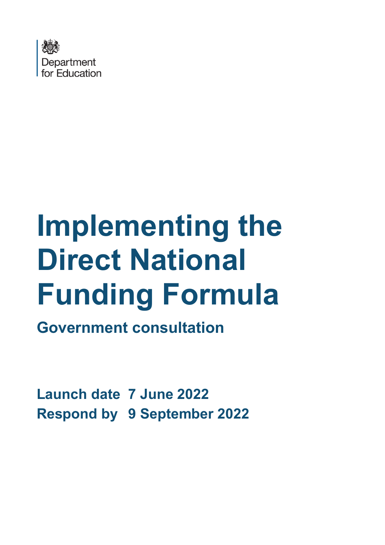

# **Implementing the Direct National Funding Formula**

**Government consultation**

**Launch date 7 June 2022 Respond by 9 September 2022**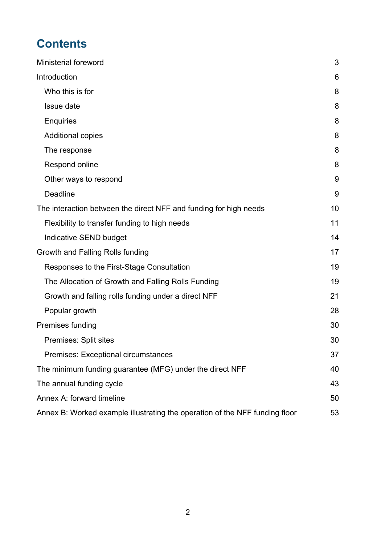# **Contents**

| <b>Ministerial foreword</b>                                                 | 3  |
|-----------------------------------------------------------------------------|----|
| Introduction                                                                | 6  |
| Who this is for                                                             | 8  |
| Issue date                                                                  | 8  |
| <b>Enquiries</b>                                                            | 8  |
| <b>Additional copies</b>                                                    | 8  |
| The response                                                                | 8  |
| Respond online                                                              | 8  |
| Other ways to respond                                                       | 9  |
| <b>Deadline</b>                                                             | 9  |
| The interaction between the direct NFF and funding for high needs           | 10 |
| Flexibility to transfer funding to high needs                               | 11 |
| Indicative SEND budget                                                      | 14 |
| Growth and Falling Rolls funding                                            | 17 |
| Responses to the First-Stage Consultation                                   | 19 |
| The Allocation of Growth and Falling Rolls Funding                          | 19 |
| Growth and falling rolls funding under a direct NFF                         | 21 |
| Popular growth                                                              | 28 |
| Premises funding                                                            | 30 |
| Premises: Split sites                                                       | 30 |
| <b>Premises: Exceptional circumstances</b>                                  | 37 |
| The minimum funding guarantee (MFG) under the direct NFF                    | 40 |
| The annual funding cycle                                                    | 43 |
| Annex A: forward timeline                                                   | 50 |
| Annex B: Worked example illustrating the operation of the NFF funding floor | 53 |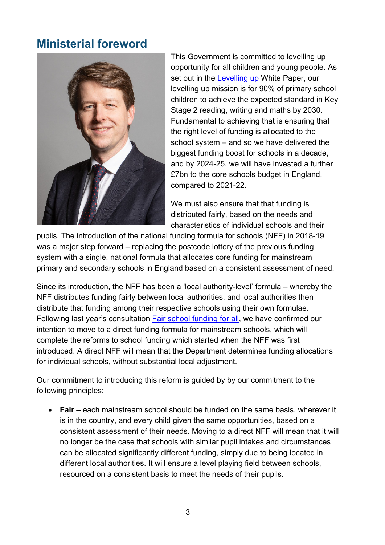# <span id="page-2-0"></span>**Ministerial foreword**



This Government is committed to levelling up opportunity for all children and young people. As set out in the [Levelling up](https://www.gov.uk/government/publications/levelling-up-the-united-kingdom) White Paper, our levelling up mission is for 90% of primary school children to achieve the expected standard in Key Stage 2 reading, writing and maths by 2030. Fundamental to achieving that is ensuring that the right level of funding is allocated to the school system – and so we have delivered the biggest funding boost for schools in a decade, and by 2024-25, we will have invested a further £7bn to the core schools budget in England. compared to 2021-22.

We must also ensure that that funding is distributed fairly, based on the needs and characteristics of individual schools and their

pupils. The introduction of the national funding formula for schools (NFF) in 2018-19 was a major step forward – replacing the postcode lottery of the previous funding system with a single, national formula that allocates core funding for mainstream primary and secondary schools in England based on a consistent assessment of need.

Since its introduction, the NFF has been a 'local authority-level' formula – whereby the NFF distributes funding fairly between local authorities, and local authorities then distribute that funding among their respective schools using their own formulae. Following last year's consultation [Fair school funding for all,](https://consult.education.gov.uk/funding-policy-unit/completing-our-reforms-to-the-nff/) we have confirmed our intention to move to a direct funding formula for mainstream schools, which will complete the reforms to school funding which started when the NFF was first introduced. A direct NFF will mean that the Department determines funding allocations for individual schools, without substantial local adjustment.

Our commitment to introducing this reform is guided by by our commitment to the following principles:

• **Fair** – each mainstream school should be funded on the same basis, wherever it is in the country, and every child given the same opportunities, based on a consistent assessment of their needs. Moving to a direct NFF will mean that it will no longer be the case that schools with similar pupil intakes and circumstances can be allocated significantly different funding, simply due to being located in different local authorities. It will ensure a level playing field between schools, resourced on a consistent basis to meet the needs of their pupils.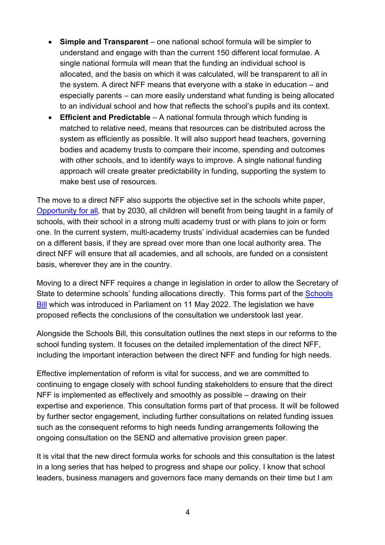- **Simple and Transparent** one national school formula will be simpler to understand and engage with than the current 150 different local formulae. A single national formula will mean that the funding an individual school is allocated, and the basis on which it was calculated, will be transparent to all in the system. A direct NFF means that everyone with a stake in education – and especially parents – can more easily understand what funding is being allocated to an individual school and how that reflects the school's pupils and its context.
- **Efficient and Predictable** A national formula through which funding is matched to relative need, means that resources can be distributed across the system as efficiently as possible. It will also support head teachers, governing bodies and academy trusts to compare their income, spending and outcomes with other schools, and to identify ways to improve. A single national funding approach will create greater predictability in funding, supporting the system to make best use of resources.

The move to a direct NFF also supports the objective set in the schools white paper, [Opportunity for all](https://www.gov.uk/government/publications/opportunity-for-all-strong-schools-with-great-teachers-for-your-child?msclkid=60ccd85dd03b11ecb37c9b42d750d4c8)*,* that by 2030, all children will benefit from being taught in a family of schools, with their school in a strong multi academy trust or with plans to join or form one. In the current system, multi-academy trusts' individual academies can be funded on a different basis, if they are spread over more than one local authority area. The direct NFF will ensure that all academies, and all schools, are funded on a consistent basis, wherever they are in the country.

Moving to a direct NFF requires a change in legislation in order to allow the Secretary of State to determine schools' funding allocations directly. This forms part of the [Schools](https://bills.parliament.uk/bills/3156/publications)  [Bill](https://bills.parliament.uk/bills/3156/publications) which was introduced in Parliament on 11 May 2022. The legislation we have proposed reflects the conclusions of the consultation we understook last year.

Alongside the Schools Bill, this consultation outlines the next steps in our reforms to the school funding system. It focuses on the detailed implementation of the direct NFF, including the important interaction between the direct NFF and funding for high needs.

Effective implementation of reform is vital for success, and we are committed to continuing to engage closely with school funding stakeholders to ensure that the direct NFF is implemented as effectively and smoothly as possible – drawing on their expertise and experience. This consultation forms part of that process. It will be followed by further sector engagement, including further consultations on related funding issues such as the consequent reforms to high needs funding arrangements following the ongoing consultation on the SEND and alternative provision green paper.

It is vital that the new direct formula works for schools and this consultation is the latest in a long series that has helped to progress and shape our policy. I know that school leaders, business managers and governors face many demands on their time but I am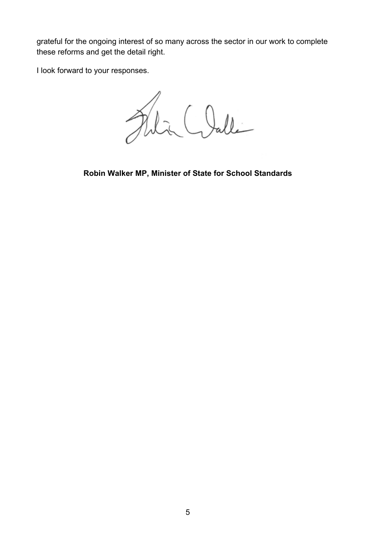grateful for the ongoing interest of so many across the sector in our work to complete these reforms and get the detail right.

I look forward to your responses.

Filia Clalle

**Robin Walker MP, Minister of State for School Standards**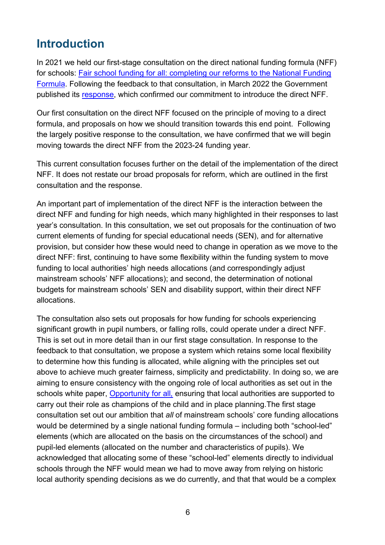## <span id="page-5-0"></span>**Introduction**

In 2021 we held our first-stage consultation on the direct national funding formula (NFF) for schools: [Fair school funding for all: completing our reforms to the National Funding](https://consult.education.gov.uk/funding-policy-unit/completing-our-reforms-to-the-nff/)  [Formula.](https://consult.education.gov.uk/funding-policy-unit/completing-our-reforms-to-the-nff/) Following the feedback to that consultation, in March 2022 the Government published its [response,](https://www.gov.uk/government/consultations/fair-school-funding-for-all-completing-our-reforms-to-the-national-funding-formula?msclkid=2e384eead03911eca8b19cf8f8cae301) which confirmed our commitment to introduce the direct NFF.

Our first consultation on the direct NFF focused on the principle of moving to a direct formula, and proposals on how we should transition towards this end point. Following the largely positive response to the consultation, we have confirmed that we will begin moving towards the direct NFF from the 2023-24 funding year.

This current consultation focuses further on the detail of the implementation of the direct NFF. It does not restate our broad proposals for reform, which are outlined in the first consultation and the response.

An important part of implementation of the direct NFF is the interaction between the direct NFF and funding for high needs, which many highlighted in their responses to last year's consultation. In this consultation, we set out proposals for the continuation of two current elements of funding for special educational needs (SEN), and for alternative provision, but consider how these would need to change in operation as we move to the direct NFF: first, continuing to have some flexibility within the funding system to move funding to local authorities' high needs allocations (and correspondingly adjust mainstream schools' NFF allocations); and second, the determination of notional budgets for mainstream schools' SEN and disability support, within their direct NFF allocations.

The consultation also sets out proposals for how funding for schools experiencing significant growth in pupil numbers, or falling rolls, could operate under a direct NFF. This is set out in more detail than in our first stage consultation. In response to the feedback to that consultation, we propose a system which retains some local flexibility to determine how this funding is allocated, while aligning with the principles set out above to achieve much greater fairness, simplicity and predictability. In doing so, we are aiming to ensure consistency with the ongoing role of local authorities as set out in the schools white paper, [Opportunity for all](https://www.gov.uk/government/publications/opportunity-for-all-strong-schools-with-great-teachers-for-your-child?msclkid=60ccd85dd03b11ecb37c9b42d750d4c8)*,* ensuring that local authorities are supported to carry out their role as champions of the child and in place planning.The first stage consultation set out our ambition that *all* of mainstream schools' core funding allocations would be determined by a single national funding formula – including both "school-led" elements (which are allocated on the basis on the circumstances of the school) and pupil-led elements (allocated on the number and characteristics of pupils). We acknowledged that allocating some of these "school-led" elements directly to individual schools through the NFF would mean we had to move away from relying on historic local authority spending decisions as we do currently, and that that would be a complex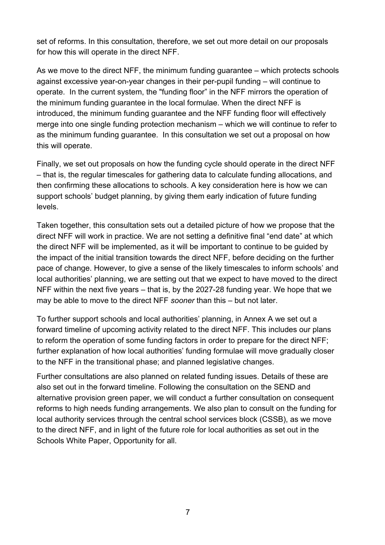set of reforms. In this consultation, therefore, we set out more detail on our proposals for how this will operate in the direct NFF.

As we move to the direct NFF, the minimum funding guarantee – which protects schools against excessive year-on-year changes in their per-pupil funding – will continue to operate. In the current system, the "funding floor" in the NFF mirrors the operation of the minimum funding guarantee in the local formulae. When the direct NFF is introduced, the minimum funding guarantee and the NFF funding floor will effectively merge into one single funding protection mechanism – which we will continue to refer to as the minimum funding guarantee. In this consultation we set out a proposal on how this will operate.

Finally, we set out proposals on how the funding cycle should operate in the direct NFF – that is, the regular timescales for gathering data to calculate funding allocations, and then confirming these allocations to schools. A key consideration here is how we can support schools' budget planning, by giving them early indication of future funding levels.

Taken together, this consultation sets out a detailed picture of how we propose that the direct NFF will work in practice. We are not setting a definitive final "end date" at which the direct NFF will be implemented, as it will be important to continue to be guided by the impact of the initial transition towards the direct NFF, before deciding on the further pace of change. However, to give a sense of the likely timescales to inform schools' and local authorities' planning, we are setting out that we expect to have moved to the direct NFF within the next five years – that is, by the 2027-28 funding year. We hope that we may be able to move to the direct NFF *sooner* than this – but not later.

To further support schools and local authorities' planning, in Annex A we set out a forward timeline of upcoming activity related to the direct NFF. This includes our plans to reform the operation of some funding factors in order to prepare for the direct NFF; further explanation of how local authorities' funding formulae will move gradually closer to the NFF in the transitional phase; and planned legislative changes.

Further consultations are also planned on related funding issues. Details of these are also set out in the forward timeline. Following the consultation on the SEND and alternative provision green paper, we will conduct a further consultation on consequent reforms to high needs funding arrangements. We also plan to consult on the funding for local authority services through the central school services block (CSSB), as we move to the direct NFF, and in light of the future role for local authorities as set out in the Schools White Paper, Opportunity for all.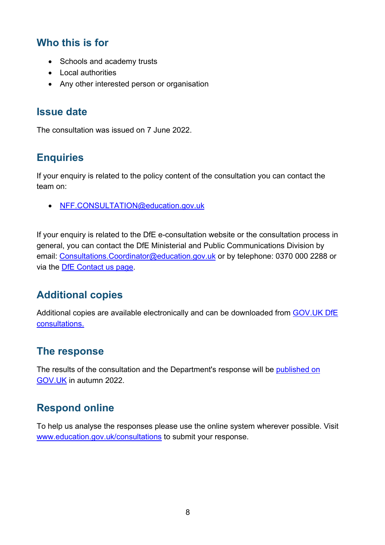## <span id="page-7-0"></span>**Who this is for**

- Schools and academy trusts
- Local authorities
- Any other interested person or organisation

#### <span id="page-7-1"></span>**Issue date**

The consultation was issued on 7 June 2022.

## <span id="page-7-2"></span>**Enquiries**

If your enquiry is related to the policy content of the consultation you can contact the team on:

• [NFF.CONSULTATION@education.gov.uk](mailto:NFF.CONSULTATION@education.gov.uk)

If your enquiry is related to the DfE e-consultation website or the consultation process in general, you can contact the DfE Ministerial and Public Communications Division by email: Consultations. Coordinator@education.gov.uk or by telephone: 0370 000 2288 or via the [DfE Contact us page.](https://www.education.gov.uk/help/contactus)

## <span id="page-7-3"></span>**Additional copies**

Additional copies are available electronically and can be downloaded from [GOV.UK DfE](https://www.gov.uk/government/publications?keywords=&publication_filter_option=consultations&topics%5B%5D=all&departments%5B%5D=department-for-education&official_document_status=all&world_locations%5B%5D=all&from_date=&to_date=&commit=Refresh+results)  [consultations.](https://www.gov.uk/government/publications?keywords=&publication_filter_option=consultations&topics%5B%5D=all&departments%5B%5D=department-for-education&official_document_status=all&world_locations%5B%5D=all&from_date=&to_date=&commit=Refresh+results)

## <span id="page-7-4"></span>**The response**

The results of the consultation and the Department's response will be [published on](https://www.gov.uk/government/publications?departments%5B%5D=department-for-education&publication_filter_option=consultations)  [GOV.UK](https://www.gov.uk/government/publications?departments%5B%5D=department-for-education&publication_filter_option=consultations) in autumn 2022.

## <span id="page-7-5"></span>**Respond online**

To help us analyse the responses please use the online system wherever possible. Visit [www.education.gov.uk/consultations](http://www.education.gov.uk/consultations) to submit your response.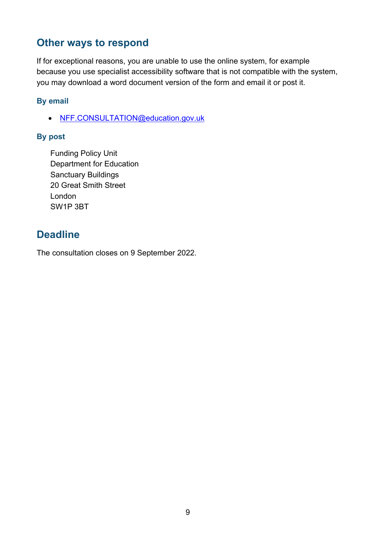## <span id="page-8-0"></span>**Other ways to respond**

If for exceptional reasons, you are unable to use the online system, for example because you use specialist accessibility software that is not compatible with the system, you may download a word document version of the form and email it or post it.

#### **By email**

• [NFF.CONSULTATION@education.gov.uk](mailto:NFF.CONSULTATION@education.gov.uk)

#### **By post**

Funding Policy Unit Department for Education Sanctuary Buildings 20 Great Smith Street London SW1P 3BT

## <span id="page-8-1"></span>**Deadline**

The consultation closes on 9 September 2022.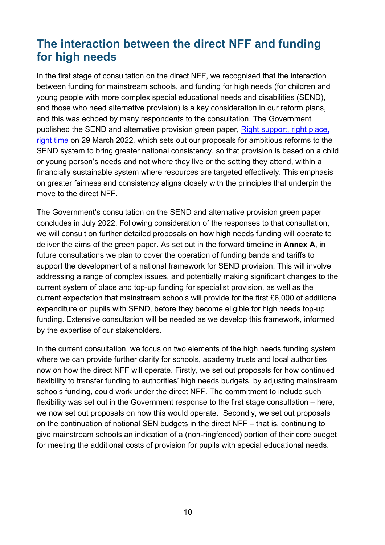# <span id="page-9-0"></span>**The interaction between the direct NFF and funding for high needs**

In the first stage of consultation on the direct NFF, we recognised that the interaction between funding for mainstream schools, and funding for high needs (for children and young people with more complex special educational needs and disabilities (SEND), and those who need alternative provision) is a key consideration in our reform plans, and this was echoed by many respondents to the consultation. The Government published the SEND and alternative provision green paper, [Right support, right place,](https://www.gov.uk/government/consultations/send-review-right-support-right-place-right-time)  [right time](https://www.gov.uk/government/consultations/send-review-right-support-right-place-right-time) on 29 March 2022*,* which sets out our proposals for ambitious reforms to the SEND system to bring greater national consistency, so that provision is based on a child or young person's needs and not where they live or the setting they attend, within a financially sustainable system where resources are targeted effectively. This emphasis on greater fairness and consistency aligns closely with the principles that underpin the move to the direct NFF.

The Government's consultation on the SEND and alternative provision green paper concludes in July 2022. Following consideration of the responses to that consultation, we will consult on further detailed proposals on how high needs funding will operate to deliver the aims of the green paper. As set out in the forward timeline in **Annex A**, in future consultations we plan to cover the operation of funding bands and tariffs to support the development of a national framework for SEND provision. This will involve addressing a range of complex issues, and potentially making significant changes to the current system of place and top-up funding for specialist provision, as well as the current expectation that mainstream schools will provide for the first £6,000 of additional expenditure on pupils with SEND, before they become eligible for high needs top-up funding. Extensive consultation will be needed as we develop this framework, informed by the expertise of our stakeholders.

In the current consultation, we focus on two elements of the high needs funding system where we can provide further clarity for schools, academy trusts and local authorities now on how the direct NFF will operate. Firstly, we set out proposals for how continued flexibility to transfer funding to authorities' high needs budgets, by adjusting mainstream schools funding, could work under the direct NFF. The commitment to include such flexibility was set out in the Government response to the first stage consultation – here, we now set out proposals on how this would operate. Secondly, we set out proposals on the continuation of notional SEN budgets in the direct NFF – that is, continuing to give mainstream schools an indication of a (non-ringfenced) portion of their core budget for meeting the additional costs of provision for pupils with special educational needs.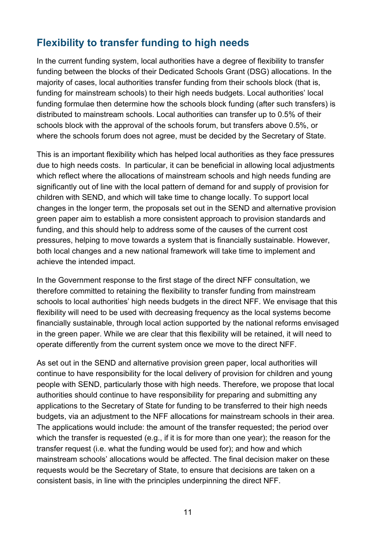## <span id="page-10-0"></span>**Flexibility to transfer funding to high needs**

In the current funding system, local authorities have a degree of flexibility to transfer funding between the blocks of their Dedicated Schools Grant (DSG) allocations. In the majority of cases, local authorities transfer funding from their schools block (that is, funding for mainstream schools) to their high needs budgets. Local authorities' local funding formulae then determine how the schools block funding (after such transfers) is distributed to mainstream schools. Local authorities can transfer up to 0.5% of their schools block with the approval of the schools forum, but transfers above 0.5%, or where the schools forum does not agree, must be decided by the Secretary of State.

This is an important flexibility which has helped local authorities as they face pressures due to high needs costs. In particular, it can be beneficial in allowing local adjustments which reflect where the allocations of mainstream schools and high needs funding are significantly out of line with the local pattern of demand for and supply of provision for children with SEND, and which will take time to change locally. To support local changes in the longer term, the proposals set out in the SEND and alternative provision green paper aim to establish a more consistent approach to provision standards and funding, and this should help to address some of the causes of the current cost pressures, helping to move towards a system that is financially sustainable. However, both local changes and a new national framework will take time to implement and achieve the intended impact.

In the Government response to the first stage of the direct NFF consultation, we therefore committed to retaining the flexibility to transfer funding from mainstream schools to local authorities' high needs budgets in the direct NFF. We envisage that this flexibility will need to be used with decreasing frequency as the local systems become financially sustainable, through local action supported by the national reforms envisaged in the green paper. While we are clear that this flexibility will be retained, it will need to operate differently from the current system once we move to the direct NFF.

As set out in the SEND and alternative provision green paper, local authorities will continue to have responsibility for the local delivery of provision for children and young people with SEND, particularly those with high needs. Therefore, we propose that local authorities should continue to have responsibility for preparing and submitting any applications to the Secretary of State for funding to be transferred to their high needs budgets, via an adjustment to the NFF allocations for mainstream schools in their area. The applications would include: the amount of the transfer requested; the period over which the transfer is requested (e.g., if it is for more than one year); the reason for the transfer request (i.e. what the funding would be used for); and how and which mainstream schools' allocations would be affected. The final decision maker on these requests would be the Secretary of State, to ensure that decisions are taken on a consistent basis, in line with the principles underpinning the direct NFF.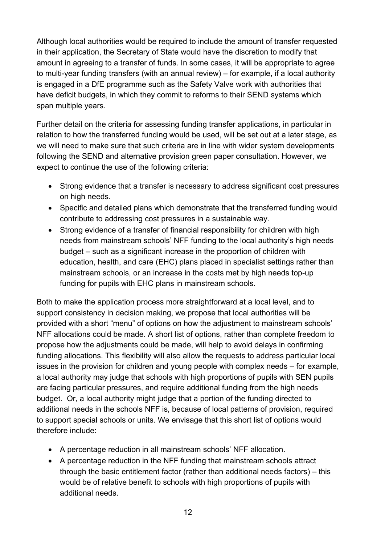Although local authorities would be required to include the amount of transfer requested in their application, the Secretary of State would have the discretion to modify that amount in agreeing to a transfer of funds. In some cases, it will be appropriate to agree to multi-year funding transfers (with an annual review) – for example, if a local authority is engaged in a DfE programme such as the Safety Valve work with authorities that have deficit budgets, in which they commit to reforms to their SEND systems which span multiple years.

Further detail on the criteria for assessing funding transfer applications, in particular in relation to how the transferred funding would be used, will be set out at a later stage, as we will need to make sure that such criteria are in line with wider system developments following the SEND and alternative provision green paper consultation. However, we expect to continue the use of the following criteria:

- Strong evidence that a transfer is necessary to address significant cost pressures on high needs.
- Specific and detailed plans which demonstrate that the transferred funding would contribute to addressing cost pressures in a sustainable way.
- Strong evidence of a transfer of financial responsibility for children with high needs from mainstream schools' NFF funding to the local authority's high needs budget – such as a significant increase in the proportion of children with education, health, and care (EHC) plans placed in specialist settings rather than mainstream schools, or an increase in the costs met by high needs top-up funding for pupils with EHC plans in mainstream schools.

Both to make the application process more straightforward at a local level, and to support consistency in decision making, we propose that local authorities will be provided with a short "menu" of options on how the adjustment to mainstream schools' NFF allocations could be made. A short list of options, rather than complete freedom to propose how the adjustments could be made, will help to avoid delays in confirming funding allocations. This flexibility will also allow the requests to address particular local issues in the provision for children and young people with complex needs – for example, a local authority may judge that schools with high proportions of pupils with SEN pupils are facing particular pressures, and require additional funding from the high needs budget. Or, a local authority might judge that a portion of the funding directed to additional needs in the schools NFF is, because of local patterns of provision, required to support special schools or units. We envisage that this short list of options would therefore include:

- A percentage reduction in all mainstream schools' NFF allocation.
- A percentage reduction in the NFF funding that mainstream schools attract through the basic entitlement factor (rather than additional needs factors) – this would be of relative benefit to schools with high proportions of pupils with additional needs.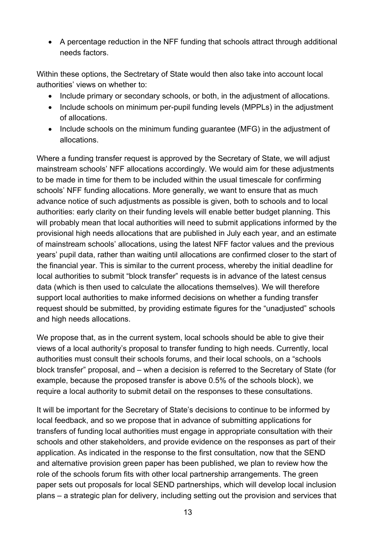• A percentage reduction in the NFF funding that schools attract through additional needs factors.

Within these options, the Sectretary of State would then also take into account local authorities' views on whether to:

- Include primary or secondary schools, or both, in the adjustment of allocations.
- Include schools on minimum per-pupil funding levels (MPPLs) in the adjustment of allocations.
- Include schools on the minimum funding guarantee (MFG) in the adjustment of allocations.

Where a funding transfer request is approved by the Secretary of State, we will adjust mainstream schools' NFF allocations accordingly. We would aim for these adjustments to be made in time for them to be included within the usual timescale for confirming schools' NFF funding allocations. More generally, we want to ensure that as much advance notice of such adjustments as possible is given, both to schools and to local authorities: early clarity on their funding levels will enable better budget planning. This will probably mean that local authorities will need to submit applications informed by the provisional high needs allocations that are published in July each year, and an estimate of mainstream schools' allocations, using the latest NFF factor values and the previous years' pupil data, rather than waiting until allocations are confirmed closer to the start of the financial year. This is similar to the current process, whereby the initial deadline for local authorities to submit "block transfer" requests is in advance of the latest census data (which is then used to calculate the allocations themselves). We will therefore support local authorities to make informed decisions on whether a funding transfer request should be submitted, by providing estimate figures for the "unadjusted" schools and high needs allocations.

We propose that, as in the current system, local schools should be able to give their views of a local authority's proposal to transfer funding to high needs. Currently, local authorities must consult their schools forums, and their local schools, on a "schools block transfer" proposal, and – when a decision is referred to the Secretary of State (for example, because the proposed transfer is above 0.5% of the schools block), we require a local authority to submit detail on the responses to these consultations.

It will be important for the Secretary of State's decisions to continue to be informed by local feedback, and so we propose that in advance of submitting applications for transfers of funding local authorities must engage in appropriate consultation with their schools and other stakeholders, and provide evidence on the responses as part of their application. As indicated in the response to the first consultation, now that the SEND and alternative provision green paper has been published, we plan to review how the role of the schools forum fits with other local partnership arrangements. The green paper sets out proposals for local SEND partnerships, which will develop local inclusion plans – a strategic plan for delivery, including setting out the provision and services that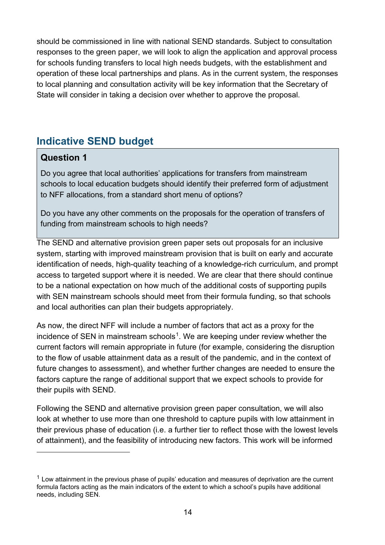should be commissioned in line with national SEND standards. Subject to consultation responses to the green paper, we will look to align the application and approval process for schools funding transfers to local high needs budgets, with the establishment and operation of these local partnerships and plans. As in the current system, the responses to local planning and consultation activity will be key information that the Secretary of State will consider in taking a decision over whether to approve the proposal.

## <span id="page-13-0"></span>**Indicative SEND budget**

#### **Question 1**

Do you agree that local authorities' applications for transfers from mainstream schools to local education budgets should identify their preferred form of adjustment to NFF allocations, from a standard short menu of options?

Do you have any other comments on the proposals for the operation of transfers of funding from mainstream schools to high needs?

The SEND and alternative provision green paper sets out proposals for an inclusive system, starting with improved mainstream provision that is built on early and accurate identification of needs, high-quality teaching of a knowledge-rich curriculum, and prompt access to targeted support where it is needed. We are clear that there should continue to be a national expectation on how much of the additional costs of supporting pupils with SEN mainstream schools should meet from their formula funding, so that schools and local authorities can plan their budgets appropriately.

As now, the direct NFF will include a number of factors that act as a proxy for the incidence of SEN in mainstream schools<sup>[1](#page-13-1)</sup>. We are keeping under review whether the current factors will remain appropriate in future (for example, considering the disruption to the flow of usable attainment data as a result of the pandemic, and in the context of future changes to assessment), and whether further changes are needed to ensure the factors capture the range of additional support that we expect schools to provide for their pupils with SEND.

Following the SEND and alternative provision green paper consultation, we will also look at whether to use more than one threshold to capture pupils with low attainment in their previous phase of education (i.e. a further tier to reflect those with the lowest levels of attainment), and the feasibility of introducing new factors. This work will be informed

<span id="page-13-1"></span> $1$  Low attainment in the previous phase of pupils' education and measures of deprivation are the current formula factors acting as the main indicators of the extent to which a school's pupils have additional needs, including SEN.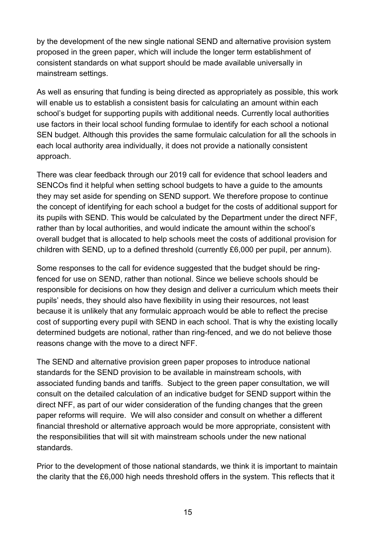by the development of the new single national SEND and alternative provision system proposed in the green paper, which will include the longer term establishment of consistent standards on what support should be made available universally in mainstream settings.

As well as ensuring that funding is being directed as appropriately as possible, this work will enable us to establish a consistent basis for calculating an amount within each school's budget for supporting pupils with additional needs. Currently local authorities use factors in their local school funding formulae to identify for each school a notional SEN budget. Although this provides the same formulaic calculation for all the schools in each local authority area individually, it does not provide a nationally consistent approach.

There was clear feedback through our 2019 call for evidence that school leaders and SENCOs find it helpful when setting school budgets to have a guide to the amounts they may set aside for spending on SEND support. We therefore propose to continue the concept of identifying for each school a budget for the costs of additional support for its pupils with SEND. This would be calculated by the Department under the direct NFF, rather than by local authorities, and would indicate the amount within the school's overall budget that is allocated to help schools meet the costs of additional provision for children with SEND, up to a defined threshold (currently £6,000 per pupil, per annum).

Some responses to the call for evidence suggested that the budget should be ringfenced for use on SEND, rather than notional. Since we believe schools should be responsible for decisions on how they design and deliver a curriculum which meets their pupils' needs, they should also have flexibility in using their resources, not least because it is unlikely that any formulaic approach would be able to reflect the precise cost of supporting every pupil with SEND in each school. That is why the existing locally determined budgets are notional, rather than ring-fenced, and we do not believe those reasons change with the move to a direct NFF.

The SEND and alternative provision green paper proposes to introduce national standards for the SEND provision to be available in mainstream schools, with associated funding bands and tariffs. Subject to the green paper consultation, we will consult on the detailed calculation of an indicative budget for SEND support within the direct NFF, as part of our wider consideration of the funding changes that the green paper reforms will require. We will also consider and consult on whether a different financial threshold or alternative approach would be more appropriate, consistent with the responsibilities that will sit with mainstream schools under the new national standards.

Prior to the development of those national standards, we think it is important to maintain the clarity that the £6,000 high needs threshold offers in the system. This reflects that it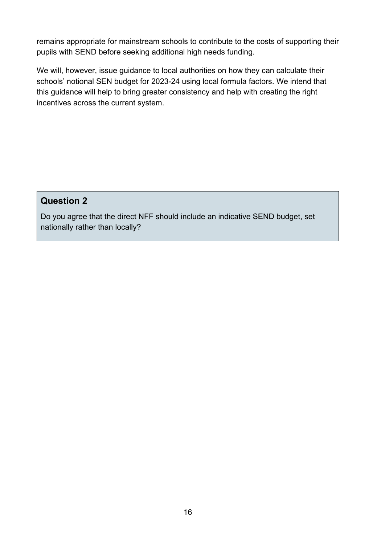remains appropriate for mainstream schools to contribute to the costs of supporting their pupils with SEND before seeking additional high needs funding.

We will, however, issue guidance to local authorities on how they can calculate their schools' notional SEN budget for 2023-24 using local formula factors. We intend that this guidance will help to bring greater consistency and help with creating the right incentives across the current system.

#### **Question 2**

Do you agree that the direct NFF should include an indicative SEND budget, set nationally rather than locally?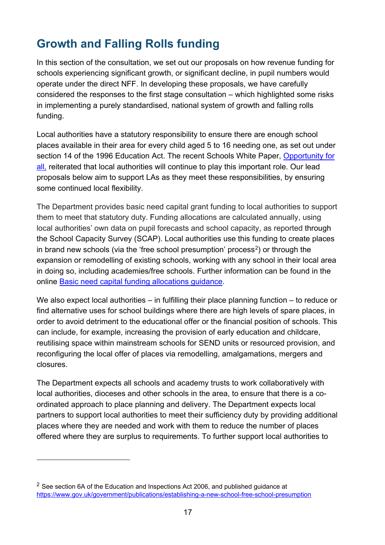# <span id="page-16-0"></span>**Growth and Falling Rolls funding**

In this section of the consultation, we set out our proposals on how revenue funding for schools experiencing significant growth, or significant decline, in pupil numbers would operate under the direct NFF. In developing these proposals, we have carefully considered the responses to the first stage consultation – which highlighted some risks in implementing a purely standardised, national system of growth and falling rolls funding.

Local authorities have a statutory responsibility to ensure there are enough school places available in their area for every child aged 5 to 16 needing one, as set out under section 14 of the 1996 Education Act. The recent Schools White Paper, [Opportunity for](https://www.gov.uk/government/publications/opportunity-for-all-strong-schools-with-great-teachers-for-your-child)  [all](https://www.gov.uk/government/publications/opportunity-for-all-strong-schools-with-great-teachers-for-your-child), reiterated that local authorities will continue to play this important role. Our lead proposals below aim to support LAs as they meet these responsibilities, by ensuring some continued local flexibility.

The Department provides basic need capital grant funding to local authorities to support them to meet that statutory duty. Funding allocations are calculated annually, using local authorities' own data on pupil forecasts and school capacity, as reported through the School Capacity Survey (SCAP). Local authorities use this funding to create places in brand new schools (via the 'free school presumption' process<sup>[2](#page-16-1)</sup>) or through the expansion or remodelling of existing schools, working with any school in their local area in doing so, including academies/free schools. Further information can be found in the online Basic need capital funding [allocations guidance.](https://www.gov.uk/government/publications/basic-need-allocations)

We also expect local authorities – in fulfilling their place planning function – to reduce or find alternative uses for school buildings where there are high levels of spare places, in order to avoid detriment to the educational offer or the financial position of schools. This can include, for example, increasing the provision of early education and childcare, reutilising space within mainstream schools for SEND units or resourced provision, and reconfiguring the local offer of places via remodelling, amalgamations, mergers and closures.

The Department expects all schools and academy trusts to work collaboratively with local authorities, dioceses and other schools in the area, to ensure that there is a coordinated approach to place planning and delivery. The Department expects local partners to support local authorities to meet their sufficiency duty by providing additional places where they are needed and work with them to reduce the number of places offered where they are surplus to requirements. To further support local authorities to

<span id="page-16-1"></span> $2$  See section 6A of the Education and Inspections Act 2006, and published guidance at <https://www.gov.uk/government/publications/establishing-a-new-school-free-school-presumption>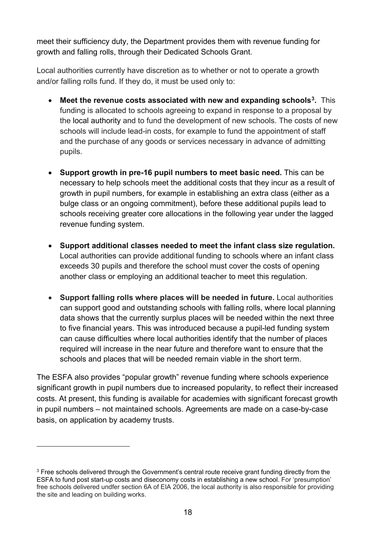meet their sufficiency duty, the Department provides them with revenue funding for growth and falling rolls, through their Dedicated Schools Grant.

Local authorities currently have discretion as to whether or not to operate a growth and/or falling rolls fund. If they do, it must be used only to:

- **Meet the revenue costs associated with new and expanding schools[3](#page-17-0).** This funding is allocated to schools agreeing to expand in response to a proposal by the local authority and to fund the development of new schools. The costs of new schools will include lead-in costs, for example to fund the appointment of staff and the purchase of any goods or services necessary in advance of admitting pupils.
- **Support growth in pre-16 pupil numbers to meet basic need.** This can be necessary to help schools meet the additional costs that they incur as a result of growth in pupil numbers, for example in establishing an extra class (either as a bulge class or an ongoing commitment), before these additional pupils lead to schools receiving greater core allocations in the following year under the lagged revenue funding system.
- **Support additional classes needed to meet the infant class size regulation.**  Local authorities can provide additional funding to schools where an infant class exceeds 30 pupils and therefore the school must cover the costs of opening another class or employing an additional teacher to meet this regulation.
- **Support falling rolls where places will be needed in future.** Local authorities can support good and outstanding schools with falling rolls, where local planning data shows that the currently surplus places will be needed within the next three to five financial years. This was introduced because a pupil-led funding system can cause difficulties where local authorities identify that the number of places required will increase in the near future and therefore want to ensure that the schools and places that will be needed remain viable in the short term.

The ESFA also provides "popular growth" revenue funding where schools experience significant growth in pupil numbers due to increased popularity, to reflect their increased costs. At present, this funding is available for academies with significant forecast growth in pupil numbers – not maintained schools. Agreements are made on a case-by-case basis, on application by academy trusts.

<span id="page-17-0"></span><sup>&</sup>lt;sup>3</sup> Free schools delivered through the Government's central route receive grant funding directly from the ESFA to fund post start-up costs and diseconomy costs in establishing a new school. For 'presumption' free schools delivered undfer section 6A of EIA 2006, the local authority is also responsible for providing the site and leading on building works.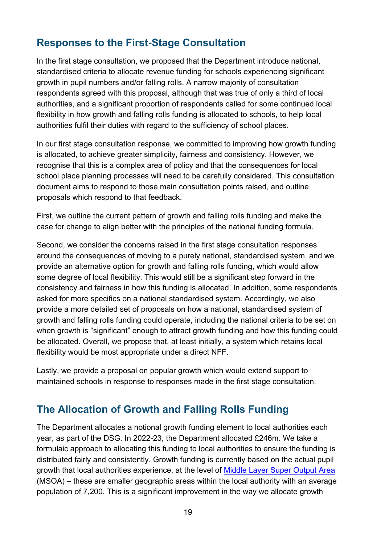## <span id="page-18-0"></span>**Responses to the First-Stage Consultation**

In the first stage consultation, we proposed that the Department introduce national, standardised criteria to allocate revenue funding for schools experiencing significant growth in pupil numbers and/or falling rolls. A narrow majority of consultation respondents agreed with this proposal, although that was true of only a third of local authorities, and a significant proportion of respondents called for some continued local flexibility in how growth and falling rolls funding is allocated to schools, to help local authorities fulfil their duties with regard to the sufficiency of school places.

In our first stage consultation response, we committed to improving how growth funding is allocated, to achieve greater simplicity, fairness and consistency. However, we recognise that this is a complex area of policy and that the consequences for local school place planning processes will need to be carefully considered. This consultation document aims to respond to those main consultation points raised, and outline proposals which respond to that feedback.

First, we outline the current pattern of growth and falling rolls funding and make the case for change to align better with the principles of the national funding formula.

Second, we consider the concerns raised in the first stage consultation responses around the consequences of moving to a purely national, standardised system, and we provide an alternative option for growth and falling rolls funding, which would allow some degree of local flexibility. This would still be a significant step forward in the consistency and fairness in how this funding is allocated. In addition, some respondents asked for more specifics on a national standardised system. Accordingly, we also provide a more detailed set of proposals on how a national, standardised system of growth and falling rolls funding could operate, including the national criteria to be set on when growth is "significant" enough to attract growth funding and how this funding could be allocated. Overall, we propose that, at least initially, a system which retains local flexibility would be most appropriate under a direct NFF.

Lastly, we provide a proposal on popular growth which would extend support to maintained schools in response to responses made in the first stage consultation.

## <span id="page-18-1"></span>**The Allocation of Growth and Falling Rolls Funding**

The Department allocates a notional growth funding element to local authorities each year, as part of the DSG. In 2022-23, the Department allocated £246m. We take a formulaic approach to allocating this funding to local authorities to ensure the funding is distributed fairly and consistently. Growth funding is currently based on the actual pupil growth that local authorities experience, at the level of [Middle Layer Super Output Area](https://www.datadictionary.nhs.uk/nhs_business_definitions/middle_layer_super_output_area.html) (MSOA) – these are smaller geographic areas within the local authority with an average population of 7,200. This is a significant improvement in the way we allocate growth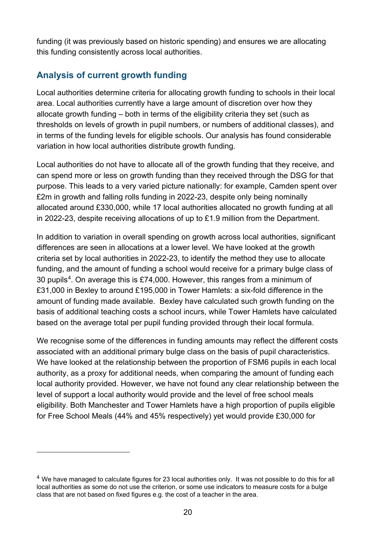funding (it was previously based on historic spending) and ensures we are allocating this funding consistently across local authorities.

#### **Analysis of current growth funding**

Local authorities determine criteria for allocating growth funding to schools in their local area. Local authorities currently have a large amount of discretion over how they allocate growth funding – both in terms of the eligibility criteria they set (such as thresholds on levels of growth in pupil numbers, or numbers of additional classes), and in terms of the funding levels for eligible schools. Our analysis has found considerable variation in how local authorities distribute growth funding.

Local authorities do not have to allocate all of the growth funding that they receive, and can spend more or less on growth funding than they received through the DSG for that purpose. This leads to a very varied picture nationally: for example, Camden spent over £2m in growth and falling rolls funding in 2022-23, despite only being nominally allocated around £330,000, while 17 local authorities allocated no growth funding at all in 2022-23, despite receiving allocations of up to £1.9 million from the Department.

In addition to variation in overall spending on growth across local authorities, significant differences are seen in allocations at a lower level. We have looked at the growth criteria set by local authorities in 2022-23, to identify the method they use to allocate funding, and the amount of funding a school would receive for a primary bulge class of 30 pupils[4.](#page-19-0) On average this is £74,000. However, this ranges from a minimum of £31,000 in Bexley to around £195,000 in Tower Hamlets: a six-fold difference in the amount of funding made available. Bexley have calculated such growth funding on the basis of additional teaching costs a school incurs, while Tower Hamlets have calculated based on the average total per pupil funding provided through their local formula.

We recognise some of the differences in funding amounts may reflect the different costs associated with an additional primary bulge class on the basis of pupil characteristics. We have looked at the relationship between the proportion of FSM6 pupils in each local authority, as a proxy for additional needs, when comparing the amount of funding each local authority provided. However, we have not found any clear relationship between the level of support a local authority would provide and the level of free school meals eligibility. Both Manchester and Tower Hamlets have a high proportion of pupils eligible for Free School Meals (44% and 45% respectively) yet would provide £30,000 for

<span id="page-19-0"></span> $<sup>4</sup>$  We have managed to calculate figures for 23 local authorities only. It was not possible to do this for all</sup> local authorities as some do not use the criterion, or some use indicators to measure costs for a bulge class that are not based on fixed figures e.g. the cost of a teacher in the area.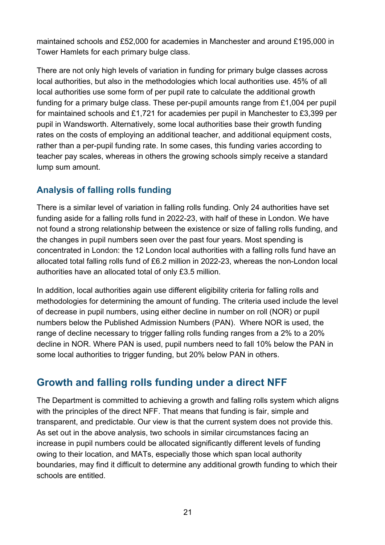maintained schools and £52,000 for academies in Manchester and around £195,000 in Tower Hamlets for each primary bulge class.

There are not only high levels of variation in funding for primary bulge classes across local authorities, but also in the methodologies which local authorities use. 45% of all local authorities use some form of per pupil rate to calculate the additional growth funding for a primary bulge class. These per-pupil amounts range from £1,004 per pupil for maintained schools and £1,721 for academies per pupil in Manchester to £3,399 per pupil in Wandsworth. Alternatively, some local authorities base their growth funding rates on the costs of employing an additional teacher, and additional equipment costs, rather than a per-pupil funding rate. In some cases, this funding varies according to teacher pay scales, whereas in others the growing schools simply receive a standard lump sum amount.

## **Analysis of falling rolls funding**

There is a similar level of variation in falling rolls funding. Only 24 authorities have set funding aside for a falling rolls fund in 2022-23, with half of these in London. We have not found a strong relationship between the existence or size of falling rolls funding, and the changes in pupil numbers seen over the past four years. Most spending is concentrated in London: the 12 London local authorities with a falling rolls fund have an allocated total falling rolls fund of £6.2 million in 2022-23, whereas the non-London local authorities have an allocated total of only £3.5 million.

In addition, local authorities again use different eligibility criteria for falling rolls and methodologies for determining the amount of funding. The criteria used include the level of decrease in pupil numbers, using either decline in number on roll (NOR) or pupil numbers below the Published Admission Numbers (PAN). Where NOR is used, the range of decline necessary to trigger falling rolls funding ranges from a 2% to a 20% decline in NOR. Where PAN is used, pupil numbers need to fall 10% below the PAN in some local authorities to trigger funding, but 20% below PAN in others.

## <span id="page-20-0"></span>**Growth and falling rolls funding under a direct NFF**

The Department is committed to achieving a growth and falling rolls system which aligns with the principles of the direct NFF. That means that funding is fair, simple and transparent, and predictable. Our view is that the current system does not provide this. As set out in the above analysis, two schools in similar circumstances facing an increase in pupil numbers could be allocated significantly different levels of funding owing to their location, and MATs, especially those which span local authority boundaries, may find it difficult to determine any additional growth funding to which their schools are entitled.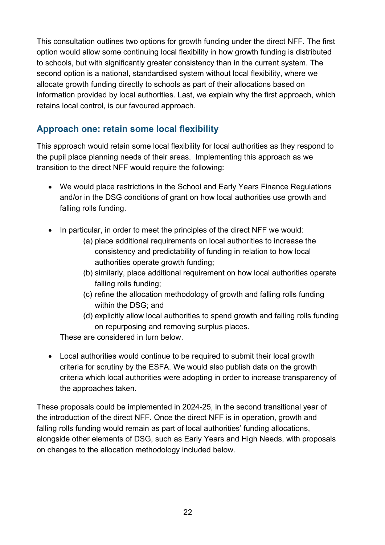This consultation outlines two options for growth funding under the direct NFF. The first option would allow some continuing local flexibility in how growth funding is distributed to schools, but with significantly greater consistency than in the current system. The second option is a national, standardised system without local flexibility, where we allocate growth funding directly to schools as part of their allocations based on information provided by local authorities. Last, we explain why the first approach, which retains local control, is our favoured approach.

#### **Approach one: retain some local flexibility**

This approach would retain some local flexibility for local authorities as they respond to the pupil place planning needs of their areas. Implementing this approach as we transition to the direct NFF would require the following:

- We would place restrictions in the School and Early Years Finance Regulations and/or in the DSG conditions of grant on how local authorities use growth and falling rolls funding.
- In particular, in order to meet the principles of the direct NFF we would:
	- (a) place additional requirements on local authorities to increase the consistency and predictability of funding in relation to how local authorities operate growth funding;
	- (b) similarly, place additional requirement on how local authorities operate falling rolls funding;
	- (c) refine the allocation methodology of growth and falling rolls funding within the DSG; and
	- (d) explicitly allow local authorities to spend growth and falling rolls funding on repurposing and removing surplus places.

These are considered in turn below.

• Local authorities would continue to be required to submit their local growth criteria for scrutiny by the ESFA. We would also publish data on the growth criteria which local authorities were adopting in order to increase transparency of the approaches taken.

These proposals could be implemented in 2024-25, in the second transitional year of the introduction of the direct NFF. Once the direct NFF is in operation, growth and falling rolls funding would remain as part of local authorities' funding allocations, alongside other elements of DSG, such as Early Years and High Needs, with proposals on changes to the allocation methodology included below.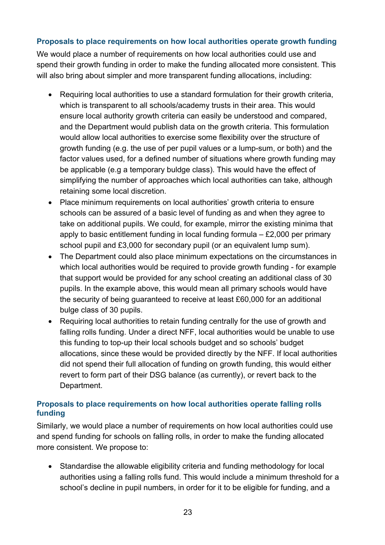#### **Proposals to place requirements on how local authorities operate growth funding**

We would place a number of requirements on how local authorities could use and spend their growth funding in order to make the funding allocated more consistent. This will also bring about simpler and more transparent funding allocations, including:

- Requiring local authorities to use a standard formulation for their growth criteria, which is transparent to all schools/academy trusts in their area. This would ensure local authority growth criteria can easily be understood and compared, and the Department would publish data on the growth criteria. This formulation would allow local authorities to exercise some flexibility over the structure of growth funding (e.g. the use of per pupil values or a lump-sum, or both) and the factor values used, for a defined number of situations where growth funding may be applicable (e.g a temporary buldge class). This would have the effect of simplifying the number of approaches which local authorities can take, although retaining some local discretion.
- Place minimum requirements on local authorities' growth criteria to ensure schools can be assured of a basic level of funding as and when they agree to take on additional pupils. We could, for example, mirror the existing minima that apply to basic entitlement funding in local funding formula – £2,000 per primary school pupil and £3,000 for secondary pupil (or an equivalent lump sum).
- The Department could also place minimum expectations on the circumstances in which local authorities would be required to provide growth funding - for example that support would be provided for any school creating an additional class of 30 pupils. In the example above, this would mean all primary schools would have the security of being guaranteed to receive at least £60,000 for an additional bulge class of 30 pupils.
- Requiring local authorities to retain funding centrally for the use of growth and falling rolls funding. Under a direct NFF, local authorities would be unable to use this funding to top-up their local schools budget and so schools' budget allocations, since these would be provided directly by the NFF. If local authorities did not spend their full allocation of funding on growth funding, this would either revert to form part of their DSG balance (as currently), or revert back to the Department.

#### **Proposals to place requirements on how local authorities operate falling rolls funding**

Similarly, we would place a number of requirements on how local authorities could use and spend funding for schools on falling rolls, in order to make the funding allocated more consistent. We propose to:

• Standardise the allowable eligibility criteria and funding methodology for local authorities using a falling rolls fund. This would include a minimum threshold for a school's decline in pupil numbers, in order for it to be eligible for funding, and a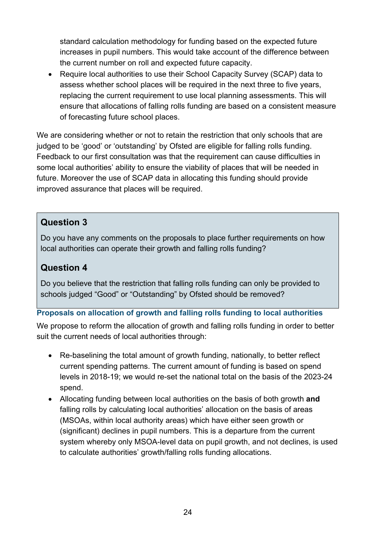standard calculation methodology for funding based on the expected future increases in pupil numbers. This would take account of the difference between the current number on roll and expected future capacity.

• Require local authorities to use their School Capacity Survey (SCAP) data to assess whether school places will be required in the next three to five years, replacing the current requirement to use local planning assessments. This will ensure that allocations of falling rolls funding are based on a consistent measure of forecasting future school places.

We are considering whether or not to retain the restriction that only schools that are judged to be 'good' or 'outstanding' by Ofsted are eligible for falling rolls funding. Feedback to our first consultation was that the requirement can cause difficulties in some local authorities' ability to ensure the viability of places that will be needed in future. Moreover the use of SCAP data in allocating this funding should provide improved assurance that places will be required.

#### **Question 3**

Do you have any comments on the proposals to place further requirements on how local authorities can operate their growth and falling rolls funding?

#### **Question 4**

Do you believe that the restriction that falling rolls funding can only be provided to schools judged "Good" or "Outstanding" by Ofsted should be removed?

#### **Proposals on allocation of growth and falling rolls funding to local authorities**

We propose to reform the allocation of growth and falling rolls funding in order to better suit the current needs of local authorities through:

- Re-baselining the total amount of growth funding, nationally, to better reflect current spending patterns. The current amount of funding is based on spend levels in 2018-19; we would re-set the national total on the basis of the 2023-24 spend.
- Allocating funding between local authorities on the basis of both growth **and** falling rolls by calculating local authorities' allocation on the basis of areas (MSOAs, within local authority areas) which have either seen growth or (significant) declines in pupil numbers. This is a departure from the current system whereby only MSOA-level data on pupil growth, and not declines, is used to calculate authorities' growth/falling rolls funding allocations.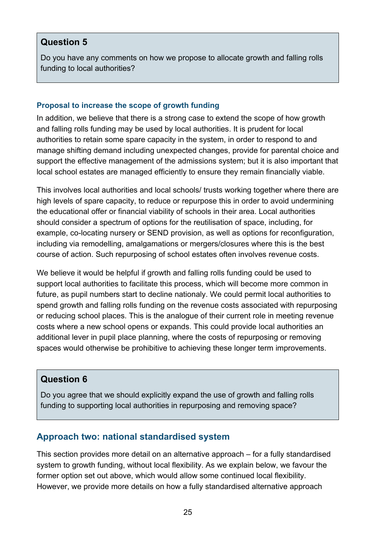#### **Question 5**

Do you have any comments on how we propose to allocate growth and falling rolls funding to local authorities?

#### **Proposal to increase the scope of growth funding**

In addition, we believe that there is a strong case to extend the scope of how growth and falling rolls funding may be used by local authorities. It is prudent for local authorities to retain some spare capacity in the system, in order to respond to and manage shifting demand including unexpected changes, provide for parental choice and support the effective management of the admissions system; but it is also important that local school estates are managed efficiently to ensure they remain financially viable.

This involves local authorities and local schools/ trusts working together where there are high levels of spare capacity, to reduce or repurpose this in order to avoid undermining the educational offer or financial viability of schools in their area. Local authorities should consider a spectrum of options for the reutilisation of space, including, for example, co-locating nursery or SEND provision, as well as options for reconfiguration, including via remodelling, amalgamations or mergers/closures where this is the best course of action. Such repurposing of school estates often involves revenue costs.

We believe it would be helpful if growth and falling rolls funding could be used to support local authorities to facilitate this process, which will become more common in future, as pupil numbers start to decline nationaly. We could permit local authorities to spend growth and falling rolls funding on the revenue costs associated with repurposing or reducing school places. This is the analogue of their current role in meeting revenue costs where a new school opens or expands. This could provide local authorities an additional lever in pupil place planning, where the costs of repurposing or removing spaces would otherwise be prohibitive to achieving these longer term improvements.

#### **Question 6**

Do you agree that we should explicitly expand the use of growth and falling rolls funding to supporting local authorities in repurposing and removing space?

#### **Approach two: national standardised system**

This section provides more detail on an alternative approach – for a fully standardised system to growth funding, without local flexibility. As we explain below, we favour the former option set out above, which would allow some continued local flexibility. However, we provide more details on how a fully standardised alternative approach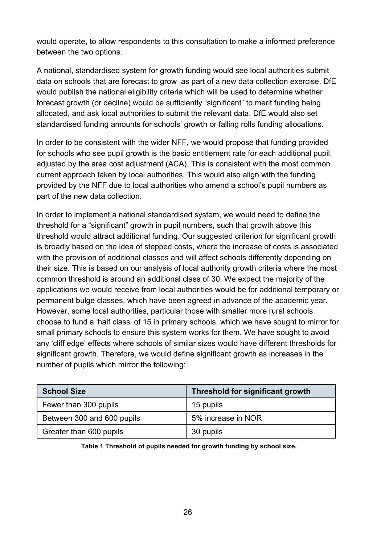would operate, to allow respondents to this consultation to make a informed preference between the two options.

A national, standardised system for growth funding would see local authorities submit data on schools that are forecast to grow as part of a new data collection exercise. DfE would publish the national eligibility criteria which will be used to determine whether forecast growth (or decline) would be sufficiently "significant" to merit funding being allocated, and ask local authorities to submit the relevant data. DfE would also set standardised funding amounts for schools' growth or falling rolls funding allocations.

In order to be consistent with the wider NFF, we would propose that funding provided for schools who see pupil growth is the basic entitlement rate for each additional pupil, adjusted by the area cost adjustment (ACA). This is consistent with the most common current approach taken by local authorities. This would also align with the funding provided by the NFF due to local authorities who amend a school's pupil numbers as part of the new data collection.

In order to implement a national standardised system, we would need to define the threshold for a "significant" growth in pupil numbers, such that growth above this threshold would attract additional funding. Our suggested criterion for significant growth is broadly based on the idea of stepped costs, where the increase of costs is associated with the provision of additional classes and will affect schools differently depending on their size. This is based on our analysis of local authority growth criteria where the most common threshold is around an additional class of 30. We expect the majority of the applications we would receive from local authorities would be for additional temporary or permanent bulge classes, which have been agreed in advance of the academic year. However, some local authorities, particular those with smaller more rural schools choose to fund a 'half class' of 15 in primary schools, which we have sought to mirror for small primary schools to ensure this system works for them. We have sought to avoid any 'cliff edge' effects where schools of similar sizes would have different thresholds for significant growth. Therefore, we would define significant growth as increases in the number of pupils which mirror the following:

| <b>School Size</b>         | <b>Threshold for significant growth</b> |
|----------------------------|-----------------------------------------|
| Fewer than 300 pupils      | 15 pupils                               |
| Between 300 and 600 pupils | 5% increase in NOR                      |
| Greater than 600 pupils    | 30 pupils                               |

**Table 1 Threshold of pupils needed for growth funding by school size.**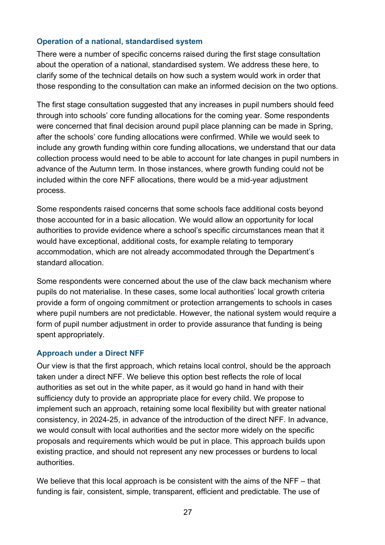#### **Operation of a national, standardised system**

There were a number of specific concerns raised during the first stage consultation about the operation of a national, standardised system. We address these here, to clarify some of the technical details on how such a system would work in order that those responding to the consultation can make an informed decision on the two options.

The first stage consultation suggested that any increases in pupil numbers should feed through into schools' core funding allocations for the coming year. Some respondents were concerned that final decision around pupil place planning can be made in Spring, after the schools' core funding allocations were confirmed. While we would seek to include any growth funding within core funding allocations, we understand that our data collection process would need to be able to account for late changes in pupil numbers in advance of the Autumn term. In those instances, where growth funding could not be included within the core NFF allocations, there would be a mid-year adjustment process.

Some respondents raised concerns that some schools face additional costs beyond those accounted for in a basic allocation. We would allow an opportunity for local authorities to provide evidence where a school's specific circumstances mean that it would have exceptional, additional costs, for example relating to temporary accommodation, which are not already accommodated through the Department's standard allocation.

Some respondents were concerned about the use of the claw back mechanism where pupils do not materialise. In these cases, some local authorities' local growth criteria provide a form of ongoing commitment or protection arrangements to schools in cases where pupil numbers are not predictable. However, the national system would require a form of pupil number adjustment in order to provide assurance that funding is being spent appropriately.

#### **Approach under a Direct NFF**

Our view is that the first approach, which retains local control, should be the approach taken under a direct NFF. We believe this option best reflects the role of local authorities as set out in the white paper, as it would go hand in hand with their sufficiency duty to provide an appropriate place for every child. We propose to implement such an approach, retaining some local flexibility but with greater national consistency, in 2024-25, in advance of the introduction of the direct NFF. In advance, we would consult with local authorities and the sector more widely on the specific proposals and requirements which would be put in place. This approach builds upon existing practice, and should not represent any new processes or burdens to local authorities.

We believe that this local approach is be consistent with the aims of the NFF – that funding is fair, consistent, simple, transparent, efficient and predictable. The use of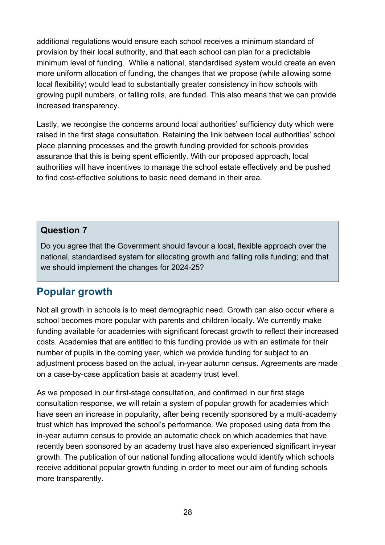additional regulations would ensure each school receives a minimum standard of provision by their local authority, and that each school can plan for a predictable minimum level of funding. While a national, standardised system would create an even more uniform allocation of funding, the changes that we propose (while allowing some local flexibility) would lead to substantially greater consistency in how schools with growing pupil numbers, or falling rolls, are funded. This also means that we can provide increased transparency.

Lastly, we recongise the concerns around local authorities' sufficiency duty which were raised in the first stage consultation. Retaining the link between local authorities' school place planning processes and the growth funding provided for schools provides assurance that this is being spent efficiently. With our proposed approach, local authorities will have incentives to manage the school estate effectively and be pushed to find cost-effective solutions to basic need demand in their area.

#### **Question 7**

Do you agree that the Government should favour a local, flexible approach over the national, standardised system for allocating growth and falling rolls funding; and that we should implement the changes for 2024-25?

## <span id="page-27-0"></span>**Popular growth**

Not all growth in schools is to meet demographic need. Growth can also occur where a school becomes more popular with parents and children locally. We currently make funding available for academies with significant forecast growth to reflect their increased costs. Academies that are entitled to this funding provide us with an estimate for their number of pupils in the coming year, which we provide funding for subject to an adjustment process based on the actual, in-year autumn census. Agreements are made on a case-by-case application basis at academy trust level.

As we proposed in our first-stage consultation, and confirmed in our first stage consultation response, we will retain a system of popular growth for academies which have seen an increase in popularity, after being recently sponsored by a multi-academy trust which has improved the school's performance. We proposed using data from the in-year autumn census to provide an automatic check on which academies that have recently been sponsored by an academy trust have also experienced significant in-year growth. The publication of our national funding allocations would identify which schools receive additional popular growth funding in order to meet our aim of funding schools more transparently.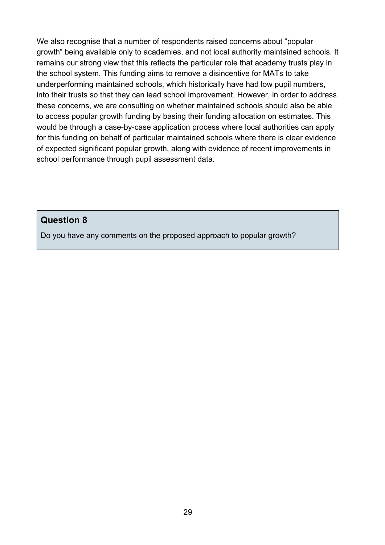We also recognise that a number of respondents raised concerns about "popular growth" being available only to academies, and not local authority maintained schools. It remains our strong view that this reflects the particular role that academy trusts play in the school system. This funding aims to remove a disincentive for MATs to take underperforming maintained schools, which historically have had low pupil numbers, into their trusts so that they can lead school improvement. However, in order to address these concerns, we are consulting on whether maintained schools should also be able to access popular growth funding by basing their funding allocation on estimates. This would be through a case-by-case application process where local authorities can apply for this funding on behalf of particular maintained schools where there is clear evidence of expected significant popular growth, along with evidence of recent improvements in school performance through pupil assessment data.

**Question 8** 

Do you have any comments on the proposed approach to popular growth?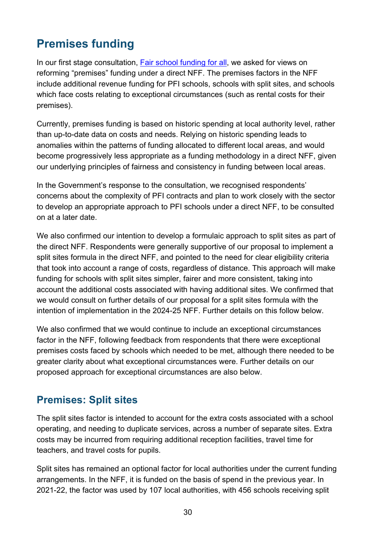# <span id="page-29-0"></span>**Premises funding**

In our first stage consultation. [Fair school funding for all,](https://consult.education.gov.uk/funding-policy-unit/completing-our-reforms-to-the-nff/) we asked for views on reforming "premises" funding under a direct NFF. The premises factors in the NFF include additional revenue funding for PFI schools, schools with split sites, and schools which face costs relating to exceptional circumstances (such as rental costs for their premises).

Currently, premises funding is based on historic spending at local authority level, rather than up-to-date data on costs and needs. Relying on historic spending leads to anomalies within the patterns of funding allocated to different local areas, and would become progressively less appropriate as a funding methodology in a direct NFF, given our underlying principles of fairness and consistency in funding between local areas.

In the Government's response to the consultation, we recognised respondents' concerns about the complexity of PFI contracts and plan to work closely with the sector to develop an appropriate approach to PFI schools under a direct NFF, to be consulted on at a later date.

We also confirmed our intention to develop a formulaic approach to split sites as part of the direct NFF. Respondents were generally supportive of our proposal to implement a split sites formula in the direct NFF, and pointed to the need for clear eligibility criteria that took into account a range of costs, regardless of distance. This approach will make funding for schools with split sites simpler, fairer and more consistent, taking into account the additional costs associated with having additional sites. We confirmed that we would consult on further details of our proposal for a split sites formula with the intention of implementation in the 2024-25 NFF. Further details on this follow below.

We also confirmed that we would continue to include an exceptional circumstances factor in the NFF, following feedback from respondents that there were exceptional premises costs faced by schools which needed to be met, although there needed to be greater clarity about what exceptional circumstances were. Further details on our proposed approach for exceptional circumstances are also below.

## <span id="page-29-1"></span>**Premises: Split sites**

The split sites factor is intended to account for the extra costs associated with a school operating, and needing to duplicate services, across a number of separate sites. Extra costs may be incurred from requiring additional reception facilities, travel time for teachers, and travel costs for pupils.

Split sites has remained an optional factor for local authorities under the current funding arrangements. In the NFF, it is funded on the basis of spend in the previous year. In 2021-22, the factor was used by 107 local authorities, with 456 schools receiving split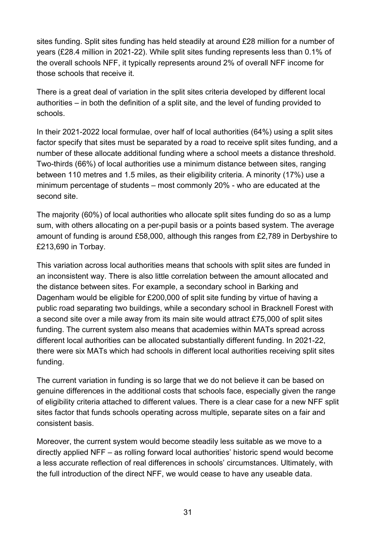sites funding. Split sites funding has held steadily at around £28 million for a number of years (£28.4 million in 2021-22). While split sites funding represents less than 0.1% of the overall schools NFF, it typically represents around 2% of overall NFF income for those schools that receive it.

There is a great deal of variation in the split sites criteria developed by different local authorities – in both the definition of a split site, and the level of funding provided to schools.

In their 2021-2022 local formulae, over half of local authorities (64%) using a split sites factor specify that sites must be separated by a road to receive split sites funding, and a number of these allocate additional funding where a school meets a distance threshold. Two-thirds (66%) of local authorities use a minimum distance between sites, ranging between 110 metres and 1.5 miles, as their eligibility criteria. A minority (17%) use a minimum percentage of students – most commonly 20% - who are educated at the second site.

The majority (60%) of local authorities who allocate split sites funding do so as a lump sum, with others allocating on a per-pupil basis or a points based system. The average amount of funding is around £58,000, although this ranges from £2,789 in Derbyshire to £213,690 in Torbay.

This variation across local authorities means that schools with split sites are funded in an inconsistent way. There is also little correlation between the amount allocated and the distance between sites. For example, a secondary school in Barking and Dagenham would be eligible for £200,000 of split site funding by virtue of having a public road separating two buildings, while a secondary school in Bracknell Forest with a second site over a mile away from its main site would attract £75,000 of split sites funding. The current system also means that academies within MATs spread across different local authorities can be allocated substantially different funding. In 2021-22, there were six MATs which had schools in different local authorities receiving split sites funding.

The current variation in funding is so large that we do not believe it can be based on genuine differences in the additional costs that schools face, especially given the range of eligibility criteria attached to different values. There is a clear case for a new NFF split sites factor that funds schools operating across multiple, separate sites on a fair and consistent basis.

Moreover, the current system would become steadily less suitable as we move to a directly applied NFF – as rolling forward local authorities' historic spend would become a less accurate reflection of real differences in schools' circumstances. Ultimately, with the full introduction of the direct NFF, we would cease to have any useable data.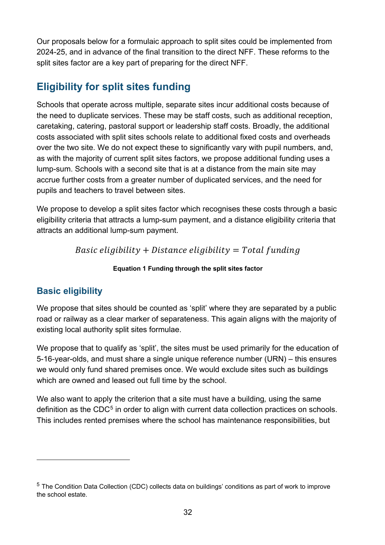Our proposals below for a formulaic approach to split sites could be implemented from 2024-25, and in advance of the final transition to the direct NFF. These reforms to the split sites factor are a key part of preparing for the direct NFF.

## **Eligibility for split sites funding**

Schools that operate across multiple, separate sites incur additional costs because of the need to duplicate services. These may be staff costs, such as additional reception, caretaking, catering, pastoral support or leadership staff costs. Broadly, the additional costs associated with split sites schools relate to additional fixed costs and overheads over the two site. We do not expect these to significantly vary with pupil numbers, and, as with the majority of current split sites factors, we propose additional funding uses a lump-sum. Schools with a second site that is at a distance from the main site may accrue further costs from a greater number of duplicated services, and the need for pupils and teachers to travel between sites.

We propose to develop a split sites factor which recognises these costs through a basic eligibility criteria that attracts a lump-sum payment, and a distance eligibility criteria that attracts an additional lump-sum payment.

Basic eligibility + Distance eligibility =  $Total funding$ 

#### **Equation 1 Funding through the split sites factor**

## **Basic eligibility**

We propose that sites should be counted as 'split' where they are separated by a public road or railway as a clear marker of separateness. This again aligns with the majority of existing local authority split sites formulae.

We propose that to qualify as 'split', the sites must be used primarily for the education of 5-16-year-olds, and must share a single unique reference number (URN) – this ensures we would only fund shared premises once. We would exclude sites such as buildings which are owned and leased out full time by the school.

We also want to apply the criterion that a site must have a building*,* using the same definition as the CDC<sup>[5](#page-31-0)</sup> in order to align with current data collection practices on schools. This includes rented premises where the school has maintenance responsibilities, but

<span id="page-31-0"></span><sup>5</sup> The Condition Data Collection (CDC) collects data on buildings' conditions as part of work to improve the school estate.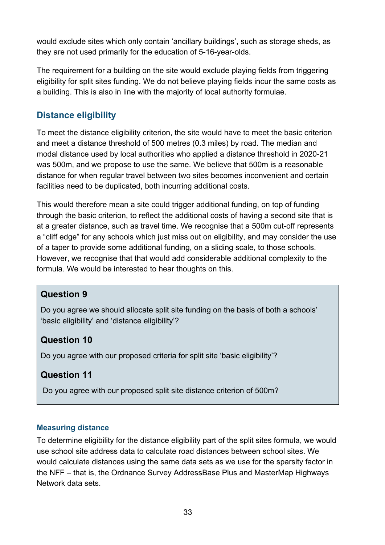would exclude sites which only contain 'ancillary buildings', such as storage sheds, as they are not used primarily for the education of 5-16-year-olds.

The requirement for a building on the site would exclude playing fields from triggering eligibility for split sites funding. We do not believe playing fields incur the same costs as a building. This is also in line with the majority of local authority formulae.

#### **Distance eligibility**

To meet the distance eligibility criterion, the site would have to meet the basic criterion and meet a distance threshold of 500 metres (0.3 miles) by road. The median and modal distance used by local authorities who applied a distance threshold in 2020-21 was 500m, and we propose to use the same. We believe that 500m is a reasonable distance for when regular travel between two sites becomes inconvenient and certain facilities need to be duplicated, both incurring additional costs.

This would therefore mean a site could trigger additional funding, on top of funding through the basic criterion, to reflect the additional costs of having a second site that is at a greater distance, such as travel time. We recognise that a 500m cut-off represents a "cliff edge" for any schools which just miss out on eligibility, and may consider the use of a taper to provide some additional funding, on a sliding scale, to those schools. However, we recognise that that would add considerable additional complexity to the formula. We would be interested to hear thoughts on this.

#### **Question 9**

Do you agree we should allocate split site funding on the basis of both a schools' 'basic eligibility' and 'distance eligibility'?

#### **Question 10**

Do you agree with our proposed criteria for split site 'basic eligibility'?

#### **Question 11**

Do you agree with our proposed split site distance criterion of 500m?

#### **Measuring distance**

To determine eligibility for the distance eligibility part of the split sites formula, we would use school site address data to calculate road distances between school sites. We would calculate distances using the same data sets as we use for the sparsity factor in the NFF – that is, the Ordnance Survey AddressBase Plus and MasterMap Highways Network data sets.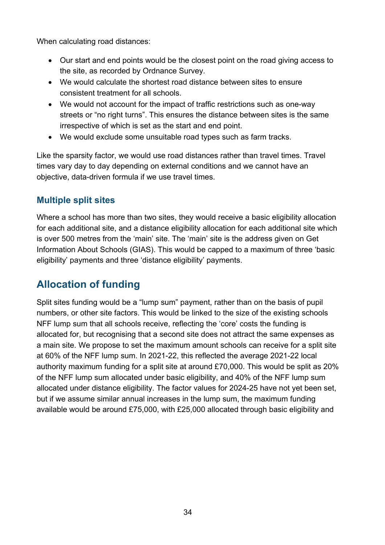When calculating road distances:

- Our start and end points would be the closest point on the road giving access to the site, as recorded by Ordnance Survey.
- We would calculate the shortest road distance between sites to ensure consistent treatment for all schools.
- We would not account for the impact of traffic restrictions such as one-way streets or "no right turns". This ensures the distance between sites is the same irrespective of which is set as the start and end point.
- We would exclude some unsuitable road types such as farm tracks.

Like the sparsity factor, we would use road distances rather than travel times. Travel times vary day to day depending on external conditions and we cannot have an objective, data-driven formula if we use travel times.

#### **Multiple split sites**

Where a school has more than two sites, they would receive a basic eligibility allocation for each additional site, and a distance eligibility allocation for each additional site which is over 500 metres from the 'main' site. The 'main' site is the address given on Get Information About Schools (GIAS). This would be capped to a maximum of three 'basic eligibility' payments and three 'distance eligibility' payments.

## **Allocation of funding**

Split sites funding would be a "lump sum" payment, rather than on the basis of pupil numbers, or other site factors. This would be linked to the size of the existing schools NFF lump sum that all schools receive, reflecting the 'core' costs the funding is allocated for, but recognising that a second site does not attract the same expenses as a main site. We propose to set the maximum amount schools can receive for a split site at 60% of the NFF lump sum. In 2021-22, this reflected the average 2021-22 local authority maximum funding for a split site at around £70,000. This would be split as 20% of the NFF lump sum allocated under basic eligibility, and 40% of the NFF lump sum allocated under distance eligibility. The factor values for 2024-25 have not yet been set, but if we assume similar annual increases in the lump sum, the maximum funding available would be around £75,000, with £25,000 allocated through basic eligibility and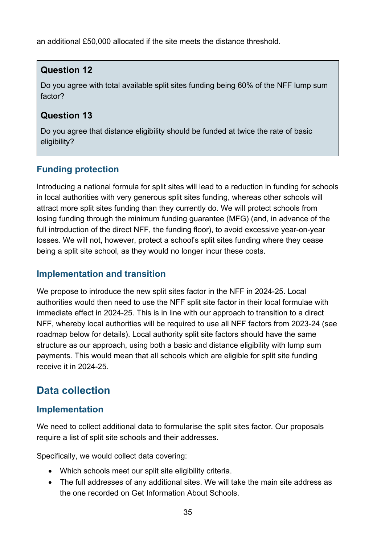an additional £50,000 allocated if the site meets the distance threshold.

#### **Question 12**

Do you agree with total available split sites funding being 60% of the NFF lump sum factor?

#### **Question 13**

Do you agree that distance eligibility should be funded at twice the rate of basic eligibility?

## **Funding protection**

Introducing a national formula for split sites will lead to a reduction in funding for schools in local authorities with very generous split sites funding, whereas other schools will attract more split sites funding than they currently do. We will protect schools from losing funding through the minimum funding guarantee (MFG) (and, in advance of the full introduction of the direct NFF, the funding floor), to avoid excessive year-on-year losses. We will not, however, protect a school's split sites funding where they cease being a split site school, as they would no longer incur these costs.

#### **Implementation and transition**

We propose to introduce the new split sites factor in the NFF in 2024-25. Local authorities would then need to use the NFF split site factor in their local formulae with immediate effect in 2024-25. This is in line with our approach to transition to a direct NFF, whereby local authorities will be required to use all NFF factors from 2023-24 (see roadmap below for details). Local authority split site factors should have the same structure as our approach, using both a basic and distance eligibility with lump sum payments. This would mean that all schools which are eligible for split site funding receive it in 2024-25.

## **Data collection**

#### **Implementation**

We need to collect additional data to formularise the split sites factor. Our proposals require a list of split site schools and their addresses.

Specifically, we would collect data covering:

- Which schools meet our split site eligibility criteria.
- The full addresses of any additional sites. We will take the main site address as the one recorded on Get Information About Schools.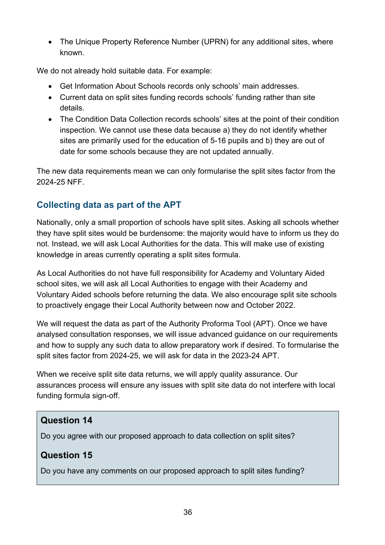• The Unique Property Reference Number (UPRN) for any additional sites, where known.

We do not already hold suitable data. For example:

- Get Information About Schools records only schools' main addresses.
- Current data on split sites funding records schools' funding rather than site details.
- The Condition Data Collection records schools' sites at the point of their condition inspection. We cannot use these data because a) they do not identify whether sites are primarily used for the education of 5-16 pupils and b) they are out of date for some schools because they are not updated annually.

The new data requirements mean we can only formularise the split sites factor from the 2024-25 NFF.

#### **Collecting data as part of the APT**

Nationally, only a small proportion of schools have split sites. Asking all schools whether they have split sites would be burdensome: the majority would have to inform us they do not. Instead, we will ask Local Authorities for the data. This will make use of existing knowledge in areas currently operating a split sites formula.

As Local Authorities do not have full responsibility for Academy and Voluntary Aided school sites, we will ask all Local Authorities to engage with their Academy and Voluntary Aided schools before returning the data. We also encourage split site schools to proactively engage their Local Authority between now and October 2022.

We will request the data as part of the Authority Proforma Tool (APT). Once we have analysed consultation responses, we will issue advanced guidance on our requirements and how to supply any such data to allow preparatory work if desired. To formularise the split sites factor from 2024-25, we will ask for data in the 2023-24 APT.

When we receive split site data returns, we will apply quality assurance. Our assurances process will ensure any issues with split site data do not interfere with local funding formula sign-off.

#### **Question 14**

Do you agree with our proposed approach to data collection on split sites?

#### **Question 15**

Do you have any comments on our proposed approach to split sites funding?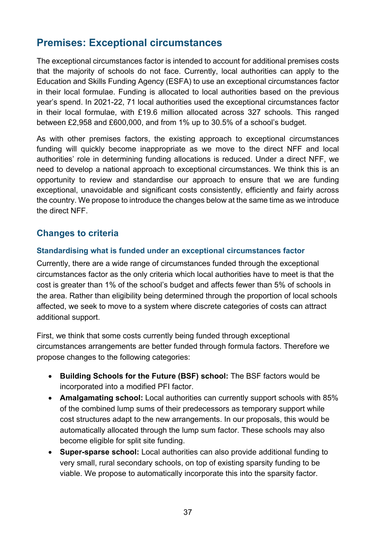## <span id="page-36-0"></span>**Premises: Exceptional circumstances**

The exceptional circumstances factor is intended to account for additional premises costs that the majority of schools do not face. Currently, local authorities can apply to the Education and Skills Funding Agency (ESFA) to use an exceptional circumstances factor in their local formulae. Funding is allocated to local authorities based on the previous year's spend. In 2021-22, 71 local authorities used the exceptional circumstances factor in their local formulae, with £19.6 million allocated across 327 schools. This ranged between £2,958 and £600,000, and from 1% up to 30.5% of a school's budget.

As with other premises factors, the existing approach to exceptional circumstances funding will quickly become inappropriate as we move to the direct NFF and local authorities' role in determining funding allocations is reduced. Under a direct NFF, we need to develop a national approach to exceptional circumstances. We think this is an opportunity to review and standardise our approach to ensure that we are funding exceptional, unavoidable and significant costs consistently, efficiently and fairly across the country. We propose to introduce the changes below at the same time as we introduce the direct NFF.

#### **Changes to criteria**

#### **Standardising what is funded under an exceptional circumstances factor**

Currently, there are a wide range of circumstances funded through the exceptional circumstances factor as the only criteria which local authorities have to meet is that the cost is greater than 1% of the school's budget and affects fewer than 5% of schools in the area. Rather than eligibility being determined through the proportion of local schools affected, we seek to move to a system where discrete categories of costs can attract additional support.

First, we think that some costs currently being funded through exceptional circumstances arrangements are better funded through formula factors. Therefore we propose changes to the following categories:

- **Building Schools for the Future (BSF) school:** The BSF factors would be incorporated into a modified PFI factor.
- **Amalgamating school:** Local authorities can currently support schools with 85% of the combined lump sums of their predecessors as temporary support while cost structures adapt to the new arrangements. In our proposals, this would be automatically allocated through the lump sum factor. These schools may also become eligible for split site funding.
- **Super-sparse school:** Local authorities can also provide additional funding to very small, rural secondary schools, on top of existing sparsity funding to be viable. We propose to automatically incorporate this into the sparsity factor.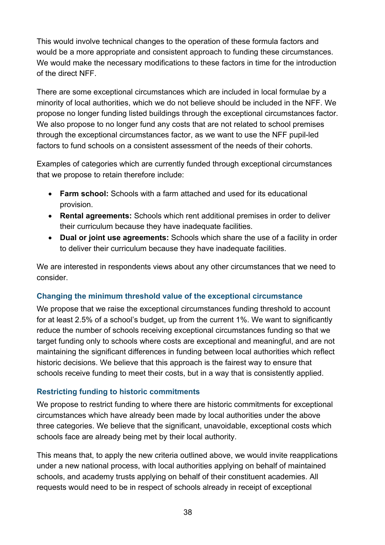This would involve technical changes to the operation of these formula factors and would be a more appropriate and consistent approach to funding these circumstances. We would make the necessary modifications to these factors in time for the introduction of the direct NFF.

There are some exceptional circumstances which are included in local formulae by a minority of local authorities, which we do not believe should be included in the NFF. We propose no longer funding listed buildings through the exceptional circumstances factor. We also propose to no longer fund any costs that are not related to school premises through the exceptional circumstances factor, as we want to use the NFF pupil-led factors to fund schools on a consistent assessment of the needs of their cohorts.

Examples of categories which are currently funded through exceptional circumstances that we propose to retain therefore include:

- **Farm school:** Schools with a farm attached and used for its educational provision.
- **Rental agreements:** Schools which rent additional premises in order to deliver their curriculum because they have inadequate facilities.
- **Dual or joint use agreements:** Schools which share the use of a facility in order to deliver their curriculum because they have inadequate facilities.

We are interested in respondents views about any other circumstances that we need to consider.

#### **Changing the minimum threshold value of the exceptional circumstance**

We propose that we raise the exceptional circumstances funding threshold to account for at least 2.5% of a school's budget, up from the current 1%. We want to significantly reduce the number of schools receiving exceptional circumstances funding so that we target funding only to schools where costs are exceptional and meaningful, and are not maintaining the significant differences in funding between local authorities which reflect historic decisions. We believe that this approach is the fairest way to ensure that schools receive funding to meet their costs, but in a way that is consistently applied.

#### **Restricting funding to historic commitments**

We propose to restrict funding to where there are historic commitments for exceptional circumstances which have already been made by local authorities under the above three categories. We believe that the significant, unavoidable, exceptional costs which schools face are already being met by their local authority.

This means that, to apply the new criteria outlined above, we would invite reapplications under a new national process, with local authorities applying on behalf of maintained schools, and academy trusts applying on behalf of their constituent academies. All requests would need to be in respect of schools already in receipt of exceptional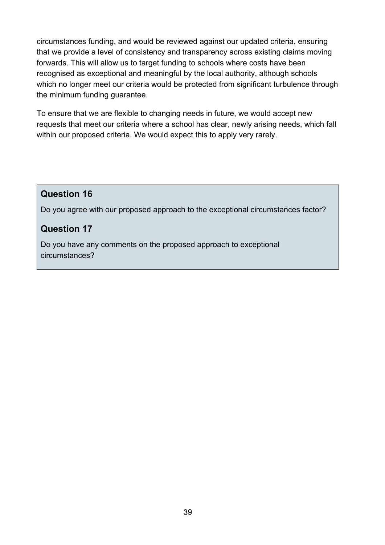circumstances funding, and would be reviewed against our updated criteria, ensuring that we provide a level of consistency and transparency across existing claims moving forwards. This will allow us to target funding to schools where costs have been recognised as exceptional and meaningful by the local authority, although schools which no longer meet our criteria would be protected from significant turbulence through the minimum funding guarantee.

To ensure that we are flexible to changing needs in future, we would accept new requests that meet our criteria where a school has clear, newly arising needs, which fall within our proposed criteria. We would expect this to apply very rarely.

#### **Question 16**

Do you agree with our proposed approach to the exceptional circumstances factor?

#### **Question 17**

Do you have any comments on the proposed approach to exceptional circumstances?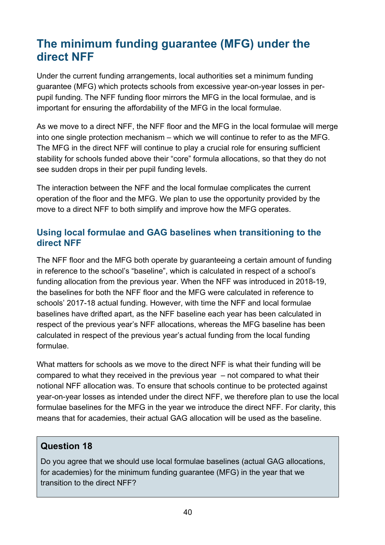# <span id="page-39-0"></span>**The minimum funding guarantee (MFG) under the direct NFF**

Under the current funding arrangements, local authorities set a minimum funding guarantee (MFG) which protects schools from excessive year-on-year losses in perpupil funding. The NFF funding floor mirrors the MFG in the local formulae, and is important for ensuring the affordability of the MFG in the local formulae.

As we move to a direct NFF, the NFF floor and the MFG in the local formulae will merge into one single protection mechanism – which we will continue to refer to as the MFG. The MFG in the direct NFF will continue to play a crucial role for ensuring sufficient stability for schools funded above their "core" formula allocations, so that they do not see sudden drops in their per pupil funding levels.

The interaction between the NFF and the local formulae complicates the current operation of the floor and the MFG. We plan to use the opportunity provided by the move to a direct NFF to both simplify and improve how the MFG operates.

#### **Using local formulae and GAG baselines when transitioning to the direct NFF**

The NFF floor and the MFG both operate by guaranteeing a certain amount of funding in reference to the school's "baseline", which is calculated in respect of a school's funding allocation from the previous year. When the NFF was introduced in 2018-19, the baselines for both the NFF floor and the MFG were calculated in reference to schools' 2017-18 actual funding. However, with time the NFF and local formulae baselines have drifted apart, as the NFF baseline each year has been calculated in respect of the previous year's NFF allocations, whereas the MFG baseline has been calculated in respect of the previous year's actual funding from the local funding formulae.

What matters for schools as we move to the direct NFF is what their funding will be compared to what they received in the previous year – not compared to what their notional NFF allocation was. To ensure that schools continue to be protected against year-on-year losses as intended under the direct NFF, we therefore plan to use the local formulae baselines for the MFG in the year we introduce the direct NFF. For clarity, this means that for academies, their actual GAG allocation will be used as the baseline.

#### **Question 18**

Do you agree that we should use local formulae baselines (actual GAG allocations, for academies) for the minimum funding guarantee (MFG) in the year that we transition to the direct NFF?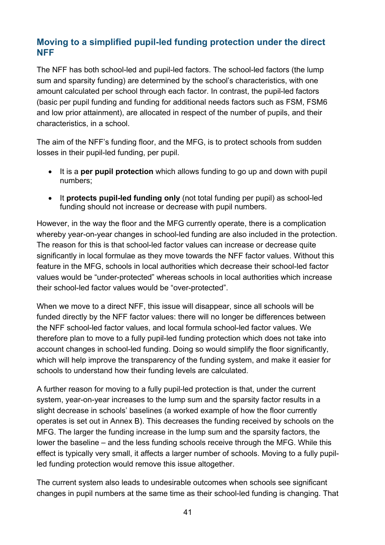#### **Moving to a simplified pupil-led funding protection under the direct NFF**

The NFF has both school-led and pupil-led factors. The school-led factors (the lump sum and sparsity funding) are determined by the school's characteristics, with one amount calculated per school through each factor. In contrast, the pupil-led factors (basic per pupil funding and funding for additional needs factors such as FSM, FSM6 and low prior attainment), are allocated in respect of the number of pupils, and their characteristics, in a school.

The aim of the NFF's funding floor, and the MFG, is to protect schools from sudden losses in their pupil-led funding, per pupil.

- It is a **per pupil protection** which allows funding to go up and down with pupil numbers;
- It **protects pupil-led funding only** (not total funding per pupil) as school-led funding should not increase or decrease with pupil numbers.

However, in the way the floor and the MFG currently operate, there is a complication whereby year-on-year changes in school-led funding are also included in the protection. The reason for this is that school-led factor values can increase or decrease quite significantly in local formulae as they move towards the NFF factor values. Without this feature in the MFG, schools in local authorities which decrease their school-led factor values would be "under-protected" whereas schools in local authorities which increase their school-led factor values would be "over-protected".

When we move to a direct NFF, this issue will disappear, since all schools will be funded directly by the NFF factor values: there will no longer be differences between the NFF school-led factor values, and local formula school-led factor values. We therefore plan to move to a fully pupil-led funding protection which does not take into account changes in school-led funding. Doing so would simplify the floor significantly, which will help improve the transparency of the funding system, and make it easier for schools to understand how their funding levels are calculated.

A further reason for moving to a fully pupil-led protection is that, under the current system, year-on-year increases to the lump sum and the sparsity factor results in a slight decrease in schools' baselines (a worked example of how the floor currently operates is set out in Annex B). This decreases the funding received by schools on the MFG. The larger the funding increase in the lump sum and the sparsity factors, the lower the baseline – and the less funding schools receive through the MFG. While this effect is typically very small, it affects a larger number of schools. Moving to a fully pupilled funding protection would remove this issue altogether.

The current system also leads to undesirable outcomes when schools see significant changes in pupil numbers at the same time as their school-led funding is changing. That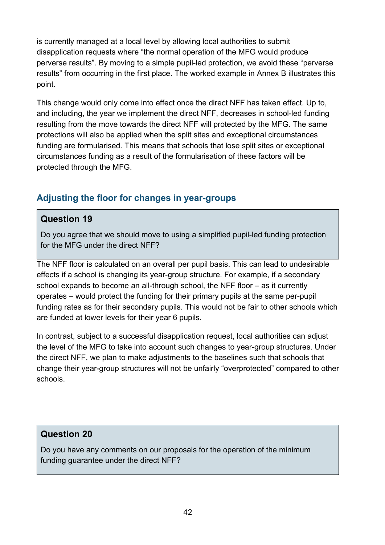is currently managed at a local level by allowing local authorities to submit disapplication requests where "the normal operation of the MFG would produce perverse results". By moving to a simple pupil-led protection, we avoid these "perverse results" from occurring in the first place. The worked example in Annex B illustrates this point.

This change would only come into effect once the direct NFF has taken effect. Up to, and including, the year we implement the direct NFF, decreases in school-led funding resulting from the move towards the direct NFF will protected by the MFG. The same protections will also be applied when the split sites and exceptional circumstances funding are formularised. This means that schools that lose split sites or exceptional circumstances funding as a result of the formularisation of these factors will be protected through the MFG.

#### **Adjusting the floor for changes in year-groups**

#### **Question 19**

Do you agree that we should move to using a simplified pupil-led funding protection for the MFG under the direct NFF?

The NFF floor is calculated on an overall per pupil basis. This can lead to undesirable effects if a school is changing its year-group structure. For example, if a secondary school expands to become an all-through school, the NFF floor – as it currently operates – would protect the funding for their primary pupils at the same per-pupil funding rates as for their secondary pupils. This would not be fair to other schools which are funded at lower levels for their year 6 pupils.

In contrast, subject to a successful disapplication request, local authorities can adjust the level of the MFG to take into account such changes to year-group structures. Under the direct NFF, we plan to make adjustments to the baselines such that schools that change their year-group structures will not be unfairly "overprotected" compared to other schools.

#### **Question 20**

Do you have any comments on our proposals for the operation of the minimum funding guarantee under the direct NFF?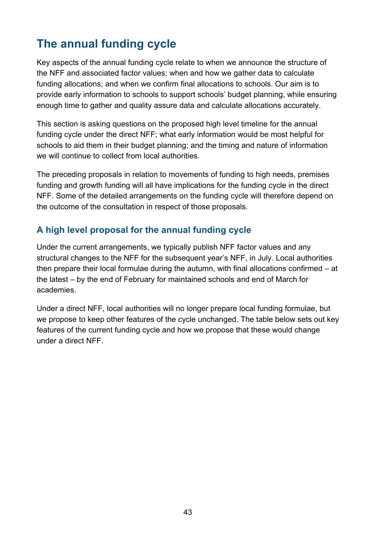# <span id="page-42-0"></span>**The annual funding cycle**

Key aspects of the annual funding cycle relate to when we announce the structure of the NFF and associated factor values; when and how we gather data to calculate funding allocations; and when we confirm final allocations to schools. Our aim is to provide early information to schools to support schools' budget planning, while ensuring enough time to gather and quality assure data and calculate allocations accurately.

This section is asking questions on the proposed high level timeline for the annual funding cycle under the direct NFF; what early information would be most helpful for schools to aid them in their budget planning; and the timing and nature of information we will continue to collect from local authorities.

The preceding proposals in relation to movements of funding to high needs, premises funding and growth funding will all have implications for the funding cycle in the direct NFF. Some of the detailed arrangements on the funding cycle will therefore depend on the outcome of the consultation in respect of those proposals.

## **A high level proposal for the annual funding cycle**

Under the current arrangements, we typically publish NFF factor values and any structural changes to the NFF for the subsequent year's NFF, in July. Local authorities then prepare their local formulae during the autumn, with final allocations confirmed – at the latest – by the end of February for maintained schools and end of March for academies.

Under a direct NFF, local authorities will no longer prepare local funding formulae, but we propose to keep other features of the cycle unchanged. The table below sets out key features of the current funding cycle and how we propose that these would change under a direct NFF.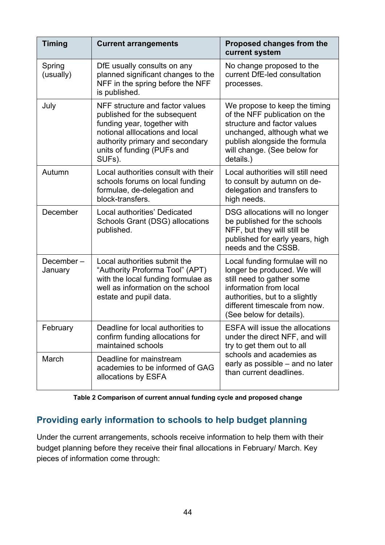| <b>Timing</b>        | <b>Current arrangements</b>                                                                                                                                                                                  | <b>Proposed changes from the</b><br>current system                                                                                                                                                                  |  |
|----------------------|--------------------------------------------------------------------------------------------------------------------------------------------------------------------------------------------------------------|---------------------------------------------------------------------------------------------------------------------------------------------------------------------------------------------------------------------|--|
| Spring<br>(usually)  | DfE usually consults on any<br>planned significant changes to the<br>NFF in the spring before the NFF<br>is published.                                                                                       | No change proposed to the<br>current DfE-led consultation<br>processes.                                                                                                                                             |  |
| July                 | NFF structure and factor values<br>published for the subsequent<br>funding year, together with<br>notional alllocations and local<br>authority primary and secondary<br>units of funding (PUFs and<br>SUFs). | We propose to keep the timing<br>of the NFF publication on the<br>structure and factor values<br>unchanged, although what we<br>publish alongside the formula<br>will change. (See below for<br>details.)           |  |
| Autumn               | Local authorities consult with their<br>schools forums on local funding<br>formulae, de-delegation and<br>block-transfers.                                                                                   | Local authorities will still need<br>to consult by autumn on de-<br>delegation and transfers to<br>high needs.                                                                                                      |  |
| December             | Local authorities' Dedicated<br>Schools Grant (DSG) allocations<br>published.                                                                                                                                | DSG allocations will no longer<br>be published for the schools<br>NFF, but they will still be<br>published for early years, high<br>needs and the CSSB.                                                             |  |
| December-<br>January | Local authorities submit the<br>"Authority Proforma Tool" (APT)<br>with the local funding formulae as<br>well as information on the school<br>estate and pupil data.                                         | Local funding formulae will no<br>longer be produced. We will<br>still need to gather some<br>information from local<br>authorities, but to a slightly<br>different timescale from now.<br>(See below for details). |  |
| February             | Deadline for local authorities to<br>confirm funding allocations for<br>maintained schools                                                                                                                   | <b>ESFA will issue the allocations</b><br>under the direct NFF, and will<br>try to get them out to all<br>schools and academies as<br>early as possible - and no later<br>than current deadlines.                   |  |
| March                | Deadline for mainstream<br>academies to be informed of GAG<br>allocations by ESFA                                                                                                                            |                                                                                                                                                                                                                     |  |

| Table 2 Comparison of current annual funding cycle and proposed change |  |
|------------------------------------------------------------------------|--|
|------------------------------------------------------------------------|--|

## **Providing early information to schools to help budget planning**

Under the current arrangements, schools receive information to help them with their budget planning before they receive their final allocations in February/ March. Key pieces of information come through: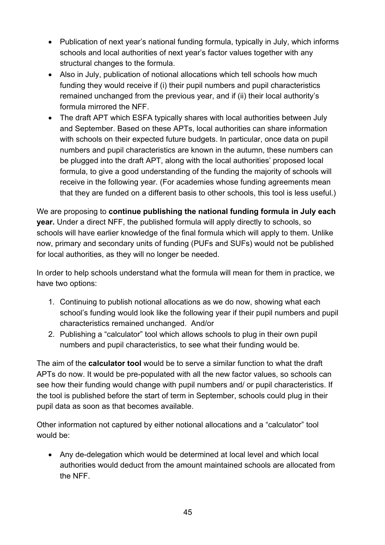- Publication of next year's national funding formula, typically in July, which informs schools and local authorities of next year's factor values together with any structural changes to the formula.
- Also in July, publication of notional allocations which tell schools how much funding they would receive if (i) their pupil numbers and pupil characteristics remained unchanged from the previous year, and if (ii) their local authority's formula mirrored the NFF.
- The draft APT which ESFA typically shares with local authorities between July and September. Based on these APTs, local authorities can share information with schools on their expected future budgets. In particular, once data on pupil numbers and pupil characteristics are known in the autumn, these numbers can be plugged into the draft APT, along with the local authorities' proposed local formula, to give a good understanding of the funding the majority of schools will receive in the following year. (For academies whose funding agreements mean that they are funded on a different basis to other schools, this tool is less useful.)

We are proposing to **continue publishing the national funding formula in July each year.** Under a direct NFF, the published formula will apply directly to schools, so schools will have earlier knowledge of the final formula which will apply to them. Unlike now, primary and secondary units of funding (PUFs and SUFs) would not be published for local authorities, as they will no longer be needed.

In order to help schools understand what the formula will mean for them in practice, we have two options:

- 1. Continuing to publish notional allocations as we do now, showing what each school's funding would look like the following year if their pupil numbers and pupil characteristics remained unchanged. And/or
- 2. Publishing a "calculator" tool which allows schools to plug in their own pupil numbers and pupil characteristics, to see what their funding would be.

The aim of the **calculator tool** would be to serve a similar function to what the draft APTs do now. It would be pre-populated with all the new factor values, so schools can see how their funding would change with pupil numbers and/ or pupil characteristics. If the tool is published before the start of term in September, schools could plug in their pupil data as soon as that becomes available.

Other information not captured by either notional allocations and a "calculator" tool would be:

• Any de-delegation which would be determined at local level and which local authorities would deduct from the amount maintained schools are allocated from the NFF.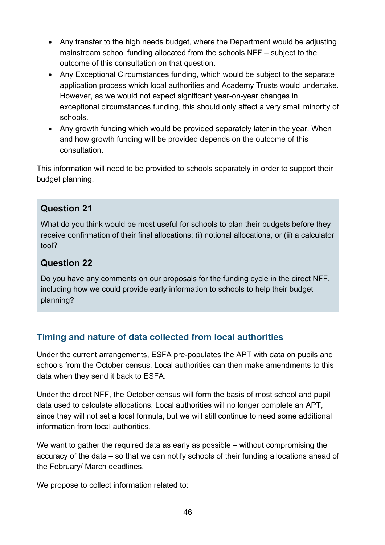- Any transfer to the high needs budget, where the Department would be adjusting mainstream school funding allocated from the schools NFF – subject to the outcome of this consultation on that question.
- Any Exceptional Circumstances funding, which would be subject to the separate application process which local authorities and Academy Trusts would undertake. However, as we would not expect significant year-on-year changes in exceptional circumstances funding, this should only affect a very small minority of schools.
- Any growth funding which would be provided separately later in the year. When and how growth funding will be provided depends on the outcome of this consultation.

This information will need to be provided to schools separately in order to support their budget planning.

#### **Question 21**

What do you think would be most useful for schools to plan their budgets before they receive confirmation of their final allocations: (i) notional allocations, or (ii) a calculator tool?

#### **Question 22**

Do you have any comments on our proposals for the funding cycle in the direct NFF, including how we could provide early information to schools to help their budget planning?

#### **Timing and nature of data collected from local authorities**

Under the current arrangements, ESFA pre-populates the APT with data on pupils and schools from the October census. Local authorities can then make amendments to this data when they send it back to ESFA.

Under the direct NFF, the October census will form the basis of most school and pupil data used to calculate allocations. Local authorities will no longer complete an APT, since they will not set a local formula, but we will still continue to need some additional information from local authorities.

We want to gather the required data as early as possible – without compromising the accuracy of the data – so that we can notify schools of their funding allocations ahead of the February/ March deadlines.

We propose to collect information related to: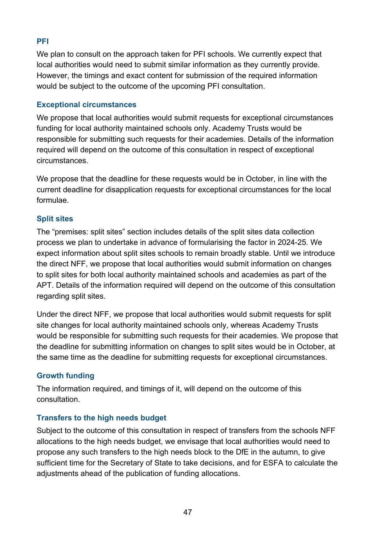#### **PFI**

We plan to consult on the approach taken for PFI schools. We currently expect that local authorities would need to submit similar information as they currently provide. However, the timings and exact content for submission of the required information would be subject to the outcome of the upcoming PFI consultation.

#### **Exceptional circumstances**

We propose that local authorities would submit requests for exceptional circumstances funding for local authority maintained schools only. Academy Trusts would be responsible for submitting such requests for their academies. Details of the information required will depend on the outcome of this consultation in respect of exceptional circumstances.

We propose that the deadline for these requests would be in October, in line with the current deadline for disapplication requests for exceptional circumstances for the local formulae.

#### **Split sites**

The "premises: split sites" section includes details of the split sites data collection process we plan to undertake in advance of formularising the factor in 2024-25. We expect information about split sites schools to remain broadly stable. Until we introduce the direct NFF, we propose that local authorities would submit information on changes to split sites for both local authority maintained schools and academies as part of the APT. Details of the information required will depend on the outcome of this consultation regarding split sites.

Under the direct NFF, we propose that local authorities would submit requests for split site changes for local authority maintained schools only, whereas Academy Trusts would be responsible for submitting such requests for their academies. We propose that the deadline for submitting information on changes to split sites would be in October, at the same time as the deadline for submitting requests for exceptional circumstances.

#### **Growth funding**

The information required, and timings of it, will depend on the outcome of this consultation.

#### **Transfers to the high needs budget**

Subject to the outcome of this consultation in respect of transfers from the schools NFF allocations to the high needs budget, we envisage that local authorities would need to propose any such transfers to the high needs block to the DfE in the autumn, to give sufficient time for the Secretary of State to take decisions, and for ESFA to calculate the adjustments ahead of the publication of funding allocations.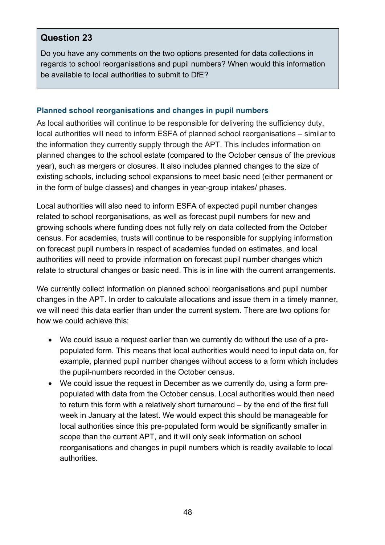#### **Question 23**

Do you have any comments on the two options presented for data collections in regards to school reorganisations and pupil numbers? When would this information be available to local authorities to submit to DfE?

#### **Planned school reorganisations and changes in pupil numbers**

As local authorities will continue to be responsible for delivering the sufficiency duty, local authorities will need to inform ESFA of planned school reorganisations – similar to the information they currently supply through the APT. This includes information on planned changes to the school estate (compared to the October census of the previous year), such as mergers or closures. It also includes planned changes to the size of existing schools, including school expansions to meet basic need (either permanent or in the form of bulge classes) and changes in year-group intakes/ phases.

Local authorities will also need to inform ESFA of expected pupil number changes related to school reorganisations, as well as forecast pupil numbers for new and growing schools where funding does not fully rely on data collected from the October census. For academies, trusts will continue to be responsible for supplying information on forecast pupil numbers in respect of academies funded on estimates, and local authorities will need to provide information on forecast pupil number changes which relate to structural changes or basic need. This is in line with the current arrangements.

We currently collect information on planned school reorganisations and pupil number changes in the APT. In order to calculate allocations and issue them in a timely manner, we will need this data earlier than under the current system. There are two options for how we could achieve this:

- We could issue a request earlier than we currently do without the use of a prepopulated form. This means that local authorities would need to input data on, for example, planned pupil number changes without access to a form which includes the pupil-numbers recorded in the October census.
- We could issue the request in December as we currently do, using a form prepopulated with data from the October census. Local authorities would then need to return this form with a relatively short turnaround – by the end of the first full week in January at the latest. We would expect this should be manageable for local authorities since this pre-populated form would be significantly smaller in scope than the current APT, and it will only seek information on school reorganisations and changes in pupil numbers which is readily available to local authorities.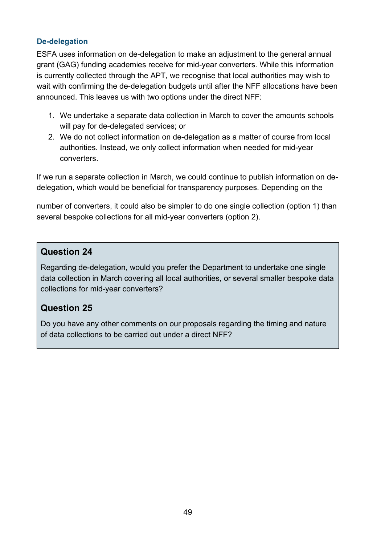#### **De-delegation**

ESFA uses information on de-delegation to make an adjustment to the general annual grant (GAG) funding academies receive for mid-year converters. While this information is currently collected through the APT, we recognise that local authorities may wish to wait with confirming the de-delegation budgets until after the NFF allocations have been announced. This leaves us with two options under the direct NFF:

- 1. We undertake a separate data collection in March to cover the amounts schools will pay for de-delegated services; or
- 2. We do not collect information on de-delegation as a matter of course from local authorities. Instead, we only collect information when needed for mid-year converters.

If we run a separate collection in March, we could continue to publish information on dedelegation, which would be beneficial for transparency purposes. Depending on the

number of converters, it could also be simpler to do one single collection (option 1) than several bespoke collections for all mid-year converters (option 2).

#### **Question 24**

Regarding de-delegation, would you prefer the Department to undertake one single data collection in March covering all local authorities, or several smaller bespoke data collections for mid-year converters?

#### **Question 25**

Do you have any other comments on our proposals regarding the timing and nature of data collections to be carried out under a direct NFF?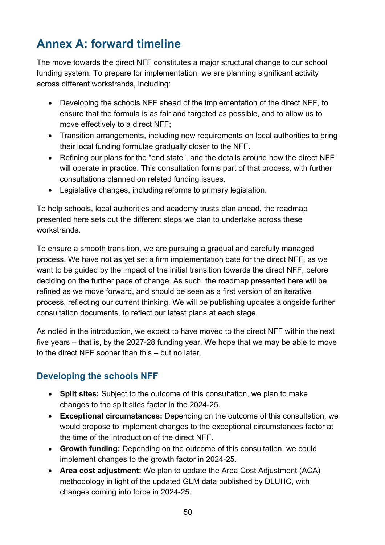# <span id="page-49-0"></span>**Annex A: forward timeline**

The move towards the direct NFF constitutes a major structural change to our school funding system. To prepare for implementation, we are planning significant activity across different workstrands, including:

- Developing the schools NFF ahead of the implementation of the direct NFF, to ensure that the formula is as fair and targeted as possible, and to allow us to move effectively to a direct NFF;
- Transition arrangements, including new requirements on local authorities to bring their local funding formulae gradually closer to the NFF.
- Refining our plans for the "end state", and the details around how the direct NFF will operate in practice. This consultation forms part of that process, with further consultations planned on related funding issues.
- Legislative changes, including reforms to primary legislation.

To help schools, local authorities and academy trusts plan ahead, the roadmap presented here sets out the different steps we plan to undertake across these workstrands.

To ensure a smooth transition, we are pursuing a gradual and carefully managed process. We have not as yet set a firm implementation date for the direct NFF, as we want to be guided by the impact of the initial transition towards the direct NFF, before deciding on the further pace of change. As such, the roadmap presented here will be refined as we move forward, and should be seen as a first version of an iterative process, reflecting our current thinking. We will be publishing updates alongside further consultation documents, to reflect our latest plans at each stage.

As noted in the introduction, we expect to have moved to the direct NFF within the next five years – that is, by the 2027-28 funding year. We hope that we may be able to move to the direct NFF sooner than this – but no later.

#### **Developing the schools NFF**

- **Split sites:** Subject to the outcome of this consultation, we plan to make changes to the split sites factor in the 2024-25.
- **Exceptional circumstances:** Depending on the outcome of this consultation, we would propose to implement changes to the exceptional circumstances factor at the time of the introduction of the direct NFF.
- **Growth funding:** Depending on the outcome of this consultation, we could implement changes to the growth factor in 2024-25.
- **Area cost adjustment:** We plan to update the Area Cost Adjustment (ACA) methodology in light of the updated GLM data published by DLUHC, with changes coming into force in 2024-25.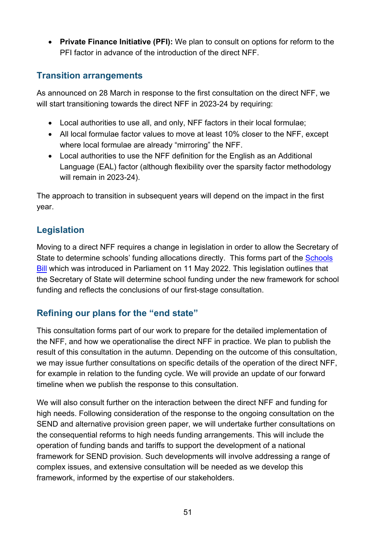• **Private Finance Initiative (PFI):** We plan to consult on options for reform to the PFI factor in advance of the introduction of the direct NFF.

#### **Transition arrangements**

As announced on 28 March in response to the first consultation on the direct NFF, we will start transitioning towards the direct NFF in 2023-24 by requiring:

- Local authorities to use all, and only, NFF factors in their local formulae;
- All local formulae factor values to move at least 10% closer to the NFF, except where local formulae are already "mirroring" the NFF.
- Local authorities to use the NFF definition for the English as an Additional Language (EAL) factor (although flexibility over the sparsity factor methodology will remain in 2023-24).

The approach to transition in subsequent years will depend on the impact in the first year.

## **Legislation**

Moving to a direct NFF requires a change in legislation in order to allow the Secretary of State to determine schools' funding allocations directly. This forms part of the [Schools](https://bills.parliament.uk/bills/3156/publications)  [Bill](https://bills.parliament.uk/bills/3156/publications) which was introduced in Parliament on 11 May 2022. This legislation outlines that the Secretary of State will determine school funding under the new framework for school funding and reflects the conclusions of our first-stage consultation.

## **Refining our plans for the "end state"**

This consultation forms part of our work to prepare for the detailed implementation of the NFF, and how we operationalise the direct NFF in practice. We plan to publish the result of this consultation in the autumn. Depending on the outcome of this consultation, we may issue further consultations on specific details of the operation of the direct NFF, for example in relation to the funding cycle. We will provide an update of our forward timeline when we publish the response to this consultation.

We will also consult further on the interaction between the direct NFF and funding for high needs. Following consideration of the response to the ongoing consultation on the SEND and alternative provision green paper, we will undertake further consultations on the consequential reforms to high needs funding arrangements. This will include the operation of funding bands and tariffs to support the development of a national framework for SEND provision. Such developments will involve addressing a range of complex issues, and extensive consultation will be needed as we develop this framework, informed by the expertise of our stakeholders.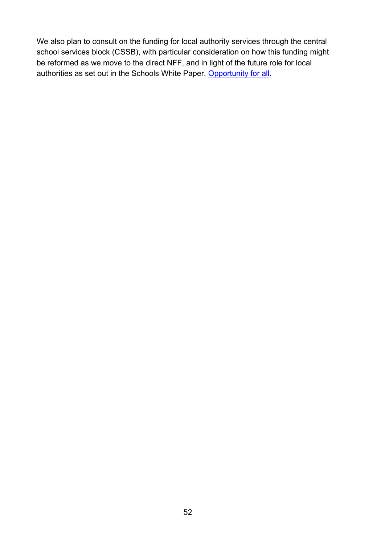We also plan to consult on the funding for local authority services through the central school services block (CSSB), with particular consideration on how this funding might be reformed as we move to the direct NFF, and in light of the future role for local authorities as set out in the Schools White Paper, [Opportunity for all.](https://www.gov.uk/government/publications/opportunity-for-all-strong-schools-with-great-teachers-for-your-child)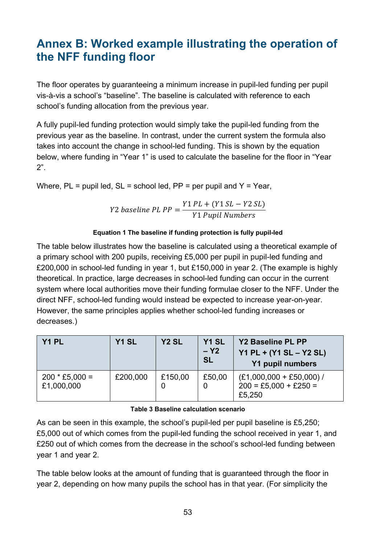# <span id="page-52-0"></span>**Annex B: Worked example illustrating the operation of the NFF funding floor**

The floor operates by guaranteeing a minimum increase in pupil-led funding per pupil vis-à-vis a school's "baseline". The baseline is calculated with reference to each school's funding allocation from the previous year.

A fully pupil-led funding protection would simply take the pupil-led funding from the previous year as the baseline. In contrast, under the current system the formula also takes into account the change in school-led funding. This is shown by the equation below, where funding in "Year 1" is used to calculate the baseline for the floor in "Year 2".

Where,  $PL =$  pupil led,  $SL =$  school led,  $PP =$  per pupil and  $Y =$  Year,

$$
Y2\ baseline\ PL\ PP = \frac{Y1\ PL + (Y1\ SL - Y2\ SL)}{Y1\ Pupil\ Numbers}
$$

#### **Equation 1 The baseline if funding protection is fully pupil-led**

The table below illustrates how the baseline is calculated using a theoretical example of a primary school with 200 pupils, receiving £5,000 per pupil in pupil-led funding and £200,000 in school-led funding in year 1, but £150,000 in year 2. (The example is highly theoretical. In practice, large decreases in school-led funding can occur in the current system where local authorities move their funding formulae closer to the NFF. Under the direct NFF, school-led funding would instead be expected to increase year-on-year. However, the same principles applies whether school-led funding increases or decreases.)

| Y1 PL                          | Y1 SL    | Y <sub>2</sub> SL | Y <sub>1</sub> SL<br>$- Y2$<br><b>SL</b> | Y2 Baseline PL PP<br>$YA$ PL + (Y1 SL – Y2 SL)<br><b>Y1 pupil numbers</b> |
|--------------------------------|----------|-------------------|------------------------------------------|---------------------------------------------------------------------------|
| $200 * £5,000 =$<br>£1,000,000 | £200,000 | £150,00           | £50,00                                   | $(E1,000,000 + E50,000)$ /<br>$200 = £5,000 + £250 =$<br>£5,250           |

#### **Table 3 Baseline calculation scenario**

As can be seen in this example, the school's pupil-led per pupil baseline is £5,250; £5,000 out of which comes from the pupil-led funding the school received in year 1, and £250 out of which comes from the decrease in the school's school-led funding between year 1 and year 2.

The table below looks at the amount of funding that is guaranteed through the floor in year 2, depending on how many pupils the school has in that year. (For simplicity the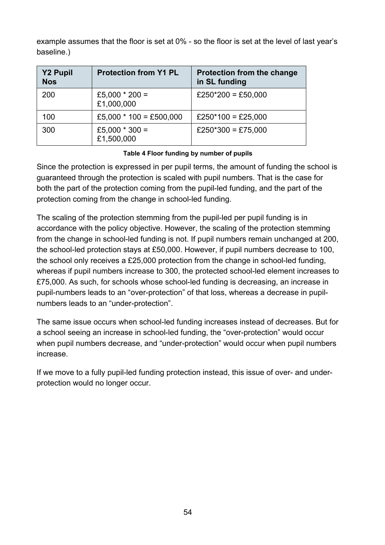example assumes that the floor is set at 0% - so the floor is set at the level of last year's baseline.)

| <b>Y2 Pupil</b><br><b>Nos</b> | <b>Protection from Y1 PL</b>   | <b>Protection from the change</b><br>in SL funding |
|-------------------------------|--------------------------------|----------------------------------------------------|
| 200                           | £5,000 $*$ 200 =<br>£1,000,000 | £250*200 = £50,000                                 |
| 100                           | £5,000 $*$ 100 = £500,000      | £250*100 = £25,000                                 |
| 300                           | £5,000 $*$ 300 =<br>£1,500,000 | £250*300 = £75,000                                 |

#### **Table 4 Floor funding by number of pupils**

Since the protection is expressed in per pupil terms, the amount of funding the school is guaranteed through the protection is scaled with pupil numbers. That is the case for both the part of the protection coming from the pupil-led funding, and the part of the protection coming from the change in school-led funding.

The scaling of the protection stemming from the pupil-led per pupil funding is in accordance with the policy objective. However, the scaling of the protection stemming from the change in school-led funding is not. If pupil numbers remain unchanged at 200, the school-led protection stays at £50,000. However, if pupil numbers decrease to 100, the school only receives a £25,000 protection from the change in school-led funding, whereas if pupil numbers increase to 300, the protected school-led element increases to £75,000. As such, for schools whose school-led funding is decreasing, an increase in pupil-numbers leads to an "over-protection" of that loss, whereas a decrease in pupilnumbers leads to an "under-protection".

The same issue occurs when school-led funding increases instead of decreases. But for a school seeing an increase in school-led funding, the "over-protection" would occur when pupil numbers decrease, and "under-protection" would occur when pupil numbers increase.

If we move to a fully pupil-led funding protection instead, this issue of over- and underprotection would no longer occur.